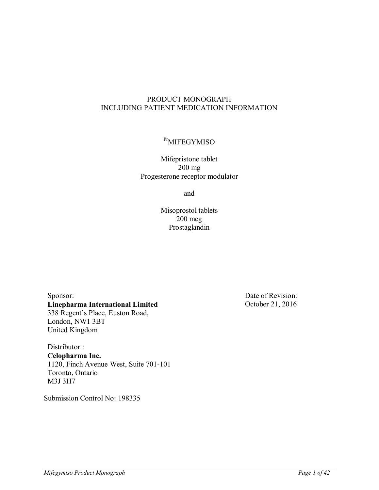# PRODUCT MONOGRAPH INCLUDING PATIENT MEDICATION INFORMATION

# <sup>Pr</sup>MIFEGYMISO

Mifepristone tablet 200 mg Progesterone receptor modulator

and

Misoprostol tablets 200 mcg Prostaglandin

Sponsor: **Linepharma International Limited** 338 Regent's Place, Euston Road, London, NW1 3BT United Kingdom

Distributor : **Celopharma Inc.** 1120, Finch Avenue West, Suite 701-101 Toronto, Ontario M3J 3H7

Submission Control No: 198335

Date of Revision: October 21, 2016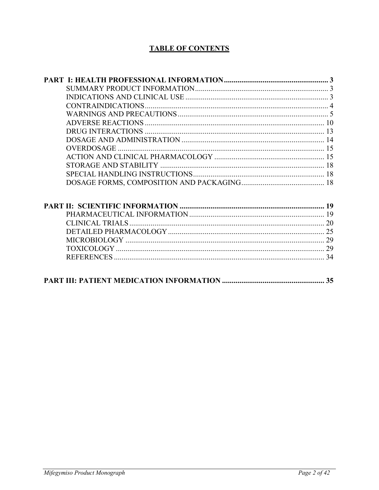# **TABLE OF CONTENTS**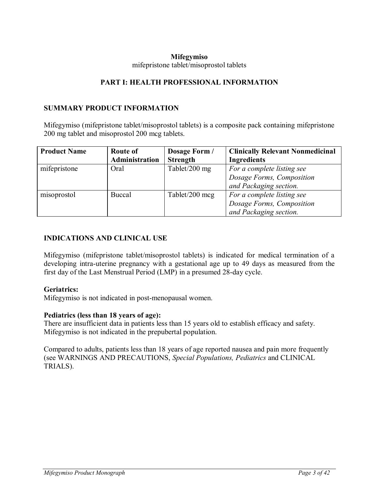#### <span id="page-2-1"></span><span id="page-2-0"></span>**Mifegymiso** mifepristone tablet/misoprostol tablets

## **PART I: HEALTH PROFESSIONAL INFORMATION**

## **SUMMARY PRODUCT INFORMATION**

Mifegymiso (mifepristone tablet/misoprostol tablets) is a composite pack containing mifepristone 200 mg tablet and misoprostol 200 mcg tablets.

| <b>Product Name</b> | <b>Route of</b>       | Dosage Form /   | <b>Clinically Relevant Nonmedicinal</b> |
|---------------------|-----------------------|-----------------|-----------------------------------------|
|                     | <b>Administration</b> | <b>Strength</b> | <b>Ingredients</b>                      |
| mifepristone        | Oral                  | Tablet/200 mg   | For a complete listing see              |
|                     |                       |                 | Dosage Forms, Composition               |
|                     |                       |                 | and Packaging section.                  |
| misoprostol         | Buccal                | Tablet/200 mcg  | For a complete listing see              |
|                     |                       |                 | Dosage Forms, Composition               |
|                     |                       |                 | and Packaging section.                  |

## <span id="page-2-2"></span>**INDICATIONS AND CLINICAL USE**

Mifegymiso (mifepristone tablet/misoprostol tablets) is indicated for medical termination of a developing intra-uterine pregnancy with a gestational age up to 49 days as measured from the first day of the Last Menstrual Period (LMP) in a presumed 28-day cycle.

#### **Geriatrics:**

Mifegymiso is not indicated in post-menopausal women.

## **Pediatrics (less than 18 years of age):**

There are insufficient data in patients less than 15 years old to establish efficacy and safety. Mifegymiso is not indicated in the prepubertal population.

Compared to adults, patients less than 18 years of age reported nausea and pain more frequently (see WARNINGS AND PRECAUTIONS, *Special Populations, Pediatrics* and CLINICAL TRIALS).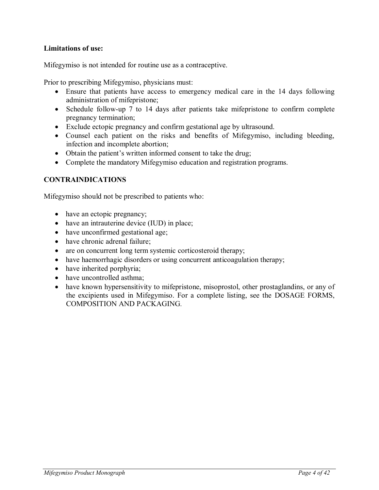## **Limitations of use:**

Mifegymiso is not intended for routine use as a contraceptive.

Prior to prescribing Mifegymiso, physicians must:

- Ensure that patients have access to emergency medical care in the 14 days following administration of mifepristone;
- Schedule follow-up 7 to 14 days after patients take mifepristone to confirm complete pregnancy termination;
- Exclude ectopic pregnancy and confirm gestational age by ultrasound.
- Counsel each patient on the risks and benefits of Mifegymiso, including bleeding, infection and incomplete abortion;
- Obtain the patient's written informed consent to take the drug;
- <span id="page-3-0"></span>• Complete the mandatory Mifegymiso education and registration programs.

# **CONTRAINDICATIONS**

Mifegymiso should not be prescribed to patients who:

- have an ectopic pregnancy;
- have an intrauterine device (IUD) in place;
- have unconfirmed gestational age;
- have chronic adrenal failure;
- are on concurrent long term systemic corticosteroid therapy;
- have haemorrhagic disorders or using concurrent anticoagulation therapy;
- have inherited porphyria;
- have uncontrolled asthma;
- have known hypersensitivity to mifepristone, misoprostol, other prostaglandins, or any of the excipients used in Mifegymiso. For a complete listing, see the DOSAGE FORMS, COMPOSITION AND PACKAGING*.*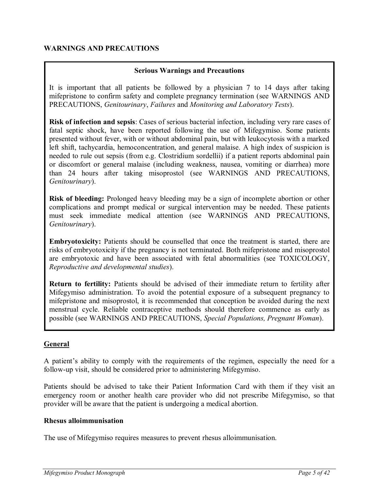## <span id="page-4-0"></span>**WARNINGS AND PRECAUTIONS**

### **Serious Warnings and Precautions**

It is important that all patients be followed by a physician 7 to 14 days after taking mifepristone to confirm safety and complete pregnancy termination (see WARNINGS AND PRECAUTIONS, *Genitourinary*, *Failures* and *Monitoring and Laboratory Tests*).

**Risk of infection and sepsis**: Cases of serious bacterial infection, including very rare cases of fatal septic shock, have been reported following the use of Mifegymiso. Some patients presented without fever, with or without abdominal pain, but with leukocytosis with a marked left shift, tachycardia, hemoconcentration, and general malaise. A high index of suspicion is needed to rule out sepsis (from e.g. Clostridium sordellii) if a patient reports abdominal pain or discomfort or general malaise (including weakness, nausea, vomiting or diarrhea) more than 24 hours after taking misoprostol (see WARNINGS AND PRECAUTIONS, *Genitourinary*).

**Risk of bleeding:** Prolonged heavy bleeding may be a sign of incomplete abortion or other complications and prompt medical or surgical intervention may be needed. These patients must seek immediate medical attention (see WARNINGS AND PRECAUTIONS, *Genitourinary*).

**Embryotoxicity:** Patients should be counselled that once the treatment is started, there are risks of embryotoxicity if the pregnancy is not terminated. Both mifepristone and misoprostol are embryotoxic and have been associated with fetal abnormalities (see TOXICOLOGY, *Reproductive and developmental studies*).

**Return to fertility:** Patients should be advised of their immediate return to fertility after Mifegymiso administration. To avoid the potential exposure of a subsequent pregnancy to mifepristone and misoprostol, it is recommended that conception be avoided during the next menstrual cycle. Reliable contraceptive methods should therefore commence as early as possible (see WARNINGS AND PRECAUTIONS, *Special Populations, Pregnant Woman*).

## **General**

A patient's ability to comply with the requirements of the regimen, especially the need for a follow-up visit, should be considered prior to administering Mifegymiso.

Patients should be advised to take their Patient Information Card with them if they visit an emergency room or another health care provider who did not prescribe Mifegymiso, so that provider will be aware that the patient is undergoing a medical abortion.

#### **Rhesus alloimmunisation**

The use of Mifegymiso requires measures to prevent rhesus alloimmunisation.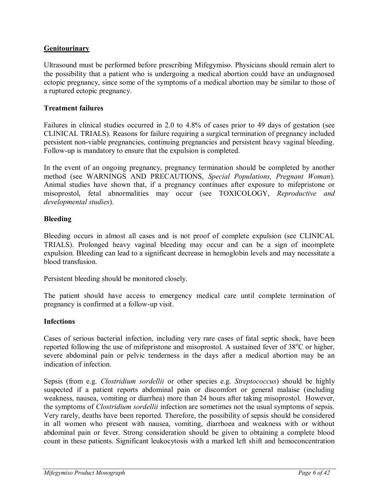# **Genitourinary**

Ultrasound must be performed before prescribing Mifegymiso. Physicians should remain alert to the possibility that a patient who is undergoing a medical abortion could have an undiagnosed ectopic pregnancy, since some of the symptoms of a medical abortion may be similar to those of a ruptured ectopic pregnancy.

### **Treatment failures**

Failures in clinical studies occurred in 2.0 to 4.8% of cases prior to 49 days of gestation (see CLINICAL TRIALS). Reasons for failure requiring a surgical termination of pregnancy included persistent non-viable pregnancies, continuing pregnancies and persistent heavy vaginal bleeding. Follow-up is mandatory to ensure that the expulsion is completed.

In the event of an ongoing pregnancy, pregnancy termination should be completed by another method (see WARNINGS AND PRECAUTIONS, *Special Populations, Pregnant Woman*). Animal studies have shown that, if a pregnancy continues after exposure to mifepristone or misoprostol, fetal abnormalities may occur (see TOXICOLOGY, *Reproductive and developmental studies*).

## **Bleeding**

Bleeding occurs in almost all cases and is not proof of complete expulsion (see CLINICAL TRIALS). Prolonged heavy vaginal bleeding may occur and can be a sign of incomplete expulsion. Bleeding can lead to a significant decrease in hemoglobin levels and may necessitate a blood transfusion.

Persistent bleeding should be monitored closely.

The patient should have access to emergency medical care until complete termination of pregnancy is confirmed at a follow-up visit.

## **Infections**

Cases of serious bacterial infection, including very rare cases of fatal septic shock, have been reported following the use of mifepristone and misoprostol. A sustained fever of  $38^{\circ}$ C or higher, severe abdominal pain or pelvic tenderness in the days after a medical abortion may be an indication of infection.

Sepsis (from e.g. *Clostridium sordellii* or other species e.g. *Streptococcus*) should be highly suspected if a patient reports abdominal pain or discomfort or general malaise (including weakness, nausea, vomiting or diarrhea) more than 24 hours after taking misoprostol. However, the symptoms of *Clostridium sordellii* infection are sometimes not the usual symptoms of sepsis. Very rarely, deaths have been reported. Therefore, the possibility of sepsis should be considered in all women who present with nausea, vomiting, diarrhoea and weakness with or without abdominal pain or fever. Strong consideration should be given to obtaining a complete blood count in these patients. Significant leukocytosis with a marked left shift and hemoconcentration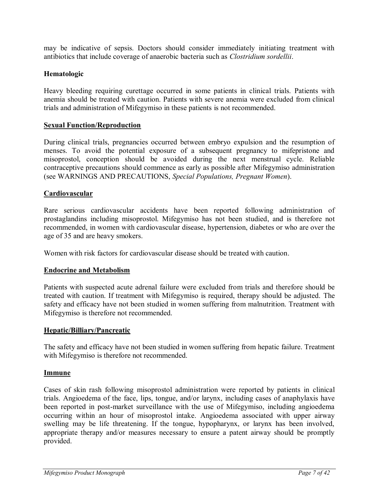may be indicative of sepsis. Doctors should consider immediately initiating treatment with antibiotics that include coverage of anaerobic bacteria such as *Clostridium sordellii*.

## **Hematologic**

Heavy bleeding requiring curettage occurred in some patients in clinical trials. Patients with anemia should be treated with caution. Patients with severe anemia were excluded from clinical trials and administration of Mifegymiso in these patients is not recommended.

## **Sexual Function/Reproduction**

During clinical trials, pregnancies occurred between embryo expulsion and the resumption of menses. To avoid the potential exposure of a subsequent pregnancy to mifepristone and misoprostol, conception should be avoided during the next menstrual cycle. Reliable contraceptive precautions should commence as early as possible after Mifegymiso administration (see WARNINGS AND PRECAUTIONS, *Special Populations, Pregnant Women*).

## **Cardiovascular**

Rare serious cardiovascular accidents have been reported following administration of prostaglandins including misoprostol. Mifegymiso has not been studied, and is therefore not recommended, in women with cardiovascular disease, hypertension, diabetes or who are over the age of 35 and are heavy smokers.

Women with risk factors for cardiovascular disease should be treated with caution.

## **Endocrine and Metabolism**

Patients with suspected acute adrenal failure were excluded from trials and therefore should be treated with caution. If treatment with Mifegymiso is required, therapy should be adjusted. The safety and efficacy have not been studied in women suffering from malnutrition. Treatment with Mifegymiso is therefore not recommended.

#### **Hepatic/Billiary/Pancreatic**

The safety and efficacy have not been studied in women suffering from hepatic failure. Treatment with Mifegymiso is therefore not recommended.

#### **Immune**

Cases of skin rash following misoprostol administration were reported by patients in clinical trials. Angioedema of the face, lips, tongue, and/or larynx, including cases of anaphylaxis have been reported in post-market surveillance with the use of Mifegymiso, including angioedema occurring within an hour of misoprostol intake. Angioedema associated with upper airway swelling may be life threatening. If the tongue, hypopharynx, or larynx has been involved, appropriate therapy and/or measures necessary to ensure a patent airway should be promptly provided.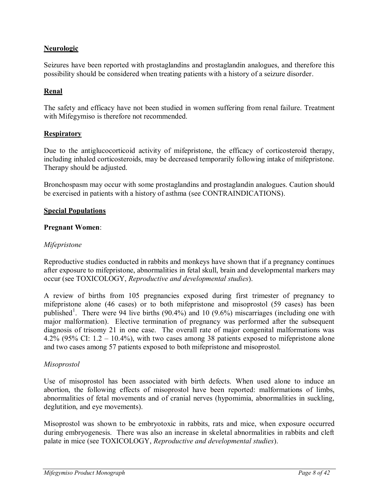# **Neurologic**

Seizures have been reported with prostaglandins and prostaglandin analogues, and therefore this possibility should be considered when treating patients with a history of a seizure disorder.

# **Renal**

The safety and efficacy have not been studied in women suffering from renal failure. Treatment with Mifegymiso is therefore not recommended.

#### **Respiratory**

Due to the antiglucocorticoid activity of mifepristone, the efficacy of corticosteroid therapy, including inhaled corticosteroids, may be decreased temporarily following intake of mifepristone. Therapy should be adjusted.

Bronchospasm may occur with some prostaglandins and prostaglandin analogues. Caution should be exercised in patients with a history of asthma (see CONTRAINDICATIONS).

#### **Special Populations**

#### **Pregnant Women**:

### *Mifepristone*

Reproductive studies conducted in rabbits and monkeys have shown that if a pregnancy continues after exposure to mifepristone, abnormalities in fetal skull, brain and developmental markers may occur (see TOXICOLOGY, *Reproductive and developmental studies*).

A review of births from 105 pregnancies exposed during first trimester of pregnancy to mifepristone alone (46 cases) or to both mifepristone and misoprostol (59 cases) has been published<sup>1</sup>. There were 94 live births (90.4%) and 10 (9.6%) miscarriages (including one with major malformation). Elective termination of pregnancy was performed after the subsequent diagnosis of trisomy 21 in one case. The overall rate of major congenital malformations was 4.2% (95% CI: 1.2 – 10.4%), with two cases among 38 patients exposed to mifepristone alone and two cases among 57 patients exposed to both mifepristone and misoprostol.

#### *Misoprostol*

Use of misoprostol has been associated with birth defects. When used alone to induce an abortion, the following effects of misoprostol have been reported: malformations of limbs, abnormalities of fetal movements and of cranial nerves (hypomimia, abnormalities in suckling, deglutition, and eye movements).

Misoprostol was shown to be embryotoxic in rabbits, rats and mice, when exposure occurred during embryogenesis. There was also an increase in skeletal abnormalities in rabbits and cleft palate in mice (see TOXICOLOGY, *Reproductive and developmental studies*).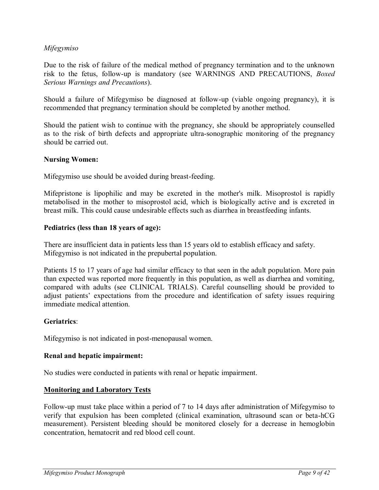## *Mifegymiso*

Due to the risk of failure of the medical method of pregnancy termination and to the unknown risk to the fetus, follow-up is mandatory (see WARNINGS AND PRECAUTIONS, *Boxed Serious Warnings and Precautions*).

Should a failure of Mifegymiso be diagnosed at follow-up (viable ongoing pregnancy), it is recommended that pregnancy termination should be completed by another method.

Should the patient wish to continue with the pregnancy, she should be appropriately counselled as to the risk of birth defects and appropriate ultra-sonographic monitoring of the pregnancy should be carried out.

## **Nursing Women:**

Mifegymiso use should be avoided during breast-feeding.

Mifepristone is lipophilic and may be excreted in the mother's milk. Misoprostol is rapidly metabolised in the mother to misoprostol acid, which is biologically active and is excreted in breast milk. This could cause undesirable effects such as diarrhea in breastfeeding infants.

# **Pediatrics (less than 18 years of age):**

There are insufficient data in patients less than 15 years old to establish efficacy and safety. Mifegymiso is not indicated in the prepubertal population.

Patients 15 to 17 years of age had similar efficacy to that seen in the adult population. More pain than expected was reported more frequently in this population, as well as diarrhea and vomiting, compared with adults (see CLINICAL TRIALS). Careful counselling should be provided to adjust patients' expectations from the procedure and identification of safety issues requiring immediate medical attention.

# **Geriatrics**:

Mifegymiso is not indicated in post-menopausal women.

## **Renal and hepatic impairment:**

No studies were conducted in patients with renal or hepatic impairment.

# **Monitoring and Laboratory Tests**

Follow-up must take place within a period of 7 to 14 days after administration of Mifegymiso to verify that expulsion has been completed (clinical examination, ultrasound scan or beta-hCG measurement). Persistent bleeding should be monitored closely for a decrease in hemoglobin concentration, hematocrit and red blood cell count.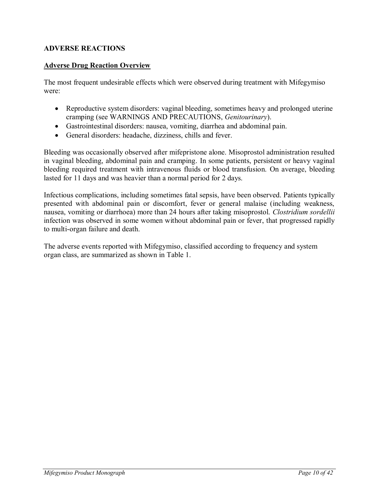# <span id="page-9-0"></span>**ADVERSE REACTIONS**

## **Adverse Drug Reaction Overview**

The most frequent undesirable effects which were observed during treatment with Mifegymiso were:

- Reproductive system disorders: vaginal bleeding, sometimes heavy and prolonged uterine cramping (see WARNINGS AND PRECAUTIONS, *Genitourinary*).
- Gastrointestinal disorders: nausea, vomiting, diarrhea and abdominal pain.
- General disorders: headache, dizziness, chills and fever.

Bleeding was occasionally observed after mifepristone alone. Misoprostol administration resulted in vaginal bleeding, abdominal pain and cramping. In some patients, persistent or heavy vaginal bleeding required treatment with intravenous fluids or blood transfusion. On average, bleeding lasted for 11 days and was heavier than a normal period for 2 days.

Infectious complications, including sometimes fatal sepsis, have been observed. Patients typically presented with abdominal pain or discomfort, fever or general malaise (including weakness, nausea, vomiting or diarrhoea) more than 24 hours after taking misoprostol. *Clostridium sordellii* infection was observed in some women without abdominal pain or fever, that progressed rapidly to multi-organ failure and death.

The adverse events reported with Mifegymiso, classified according to frequency and system organ class, are summarized as shown in [Table 1.](#page-10-0)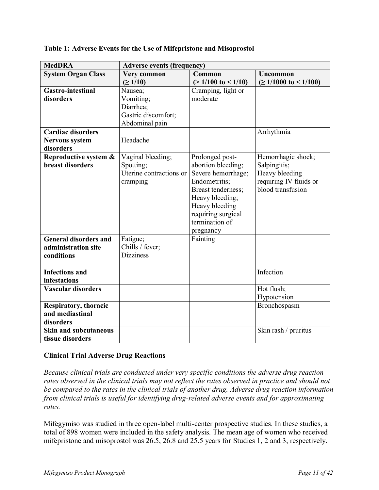| <b>MedDRA</b>                | <b>Adverse events (frequency)</b> |                               |                           |
|------------------------------|-----------------------------------|-------------------------------|---------------------------|
| <b>System Organ Class</b>    | Very common<br>Common<br>Uncommon |                               |                           |
|                              | $( \ge 1/10)$                     | $(>1/100 \text{ to } < 1/10)$ | $\geq 1/1000$ to < 1/100) |
| <b>Gastro-intestinal</b>     | Nausea;                           | Cramping, light or            |                           |
| disorders                    | Vomiting;                         | moderate                      |                           |
|                              | Diarrhea;                         |                               |                           |
|                              | Gastric discomfort;               |                               |                           |
|                              | Abdominal pain                    |                               |                           |
| <b>Cardiac disorders</b>     |                                   |                               | Arrhythmia                |
| <b>Nervous system</b>        | Headache                          |                               |                           |
| disorders                    |                                   |                               |                           |
| Reproductive system &        | Vaginal bleeding;                 | Prolonged post-               | Hemorrhagic shock;        |
| <b>breast disorders</b>      | Spotting;                         | abortion bleeding;            | Salpingitis;              |
|                              | Uterine contractions or           | Severe hemorrhage;            | Heavy bleeding            |
|                              | cramping                          | Endometritis;                 | requiring IV fluids or    |
|                              |                                   | Breast tenderness;            | blood transfusion         |
|                              |                                   | Heavy bleeding;               |                           |
|                              |                                   | Heavy bleeding                |                           |
|                              |                                   | requiring surgical            |                           |
|                              |                                   | termination of                |                           |
|                              |                                   | pregnancy                     |                           |
| <b>General disorders and</b> | Fatigue;                          | Fainting                      |                           |
| administration site          | Chills / fever;                   |                               |                           |
| conditions                   | <b>Dizziness</b>                  |                               |                           |
|                              |                                   |                               |                           |
| <b>Infections</b> and        |                                   |                               | Infection                 |
| infestations                 |                                   |                               |                           |
| <b>Vascular disorders</b>    |                                   |                               | Hot flush;                |
|                              |                                   |                               | Hypotension               |
| Respiratory, thoracic        |                                   |                               | Bronchospasm              |
| and mediastinal              |                                   |                               |                           |
| disorders                    |                                   |                               |                           |
| <b>Skin and subcutaneous</b> |                                   |                               | Skin rash / pruritus      |
| tissue disorders             |                                   |                               |                           |

## <span id="page-10-0"></span>**Table 1: Adverse Events for the Use of Mifepristone and Misoprostol**

# **Clinical Trial Adverse Drug Reactions**

*Because clinical trials are conducted under very specific conditions the adverse drug reaction rates observed in the clinical trials may not reflect the rates observed in practice and should not be compared to the rates in the clinical trials of another drug. Adverse drug reaction information from clinical trials is useful for identifying drug-related adverse events and for approximating rates.* 

Mifegymiso was studied in three open-label multi-center prospective studies. In these studies, a total of 898 women were included in the safety analysis. The mean age of women who received mifepristone and misoprostol was 26.5, 26.8 and 25.5 years for Studies 1, 2 and 3, respectively.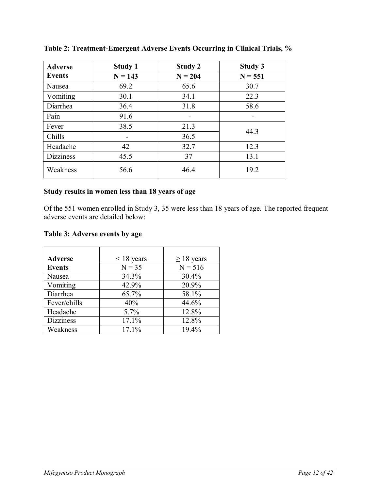| <b>Adverse</b>   | <b>Study 1</b> | Study 2   | <b>Study 3</b> |
|------------------|----------------|-----------|----------------|
| <b>Events</b>    | $N = 143$      | $N = 204$ | $N = 551$      |
| Nausea           | 69.2           | 65.6      | 30.7           |
| Vomiting         | 30.1           | 34.1      | 22.3           |
| Diarrhea         | 36.4           | 31.8      | 58.6           |
| Pain             | 91.6           |           |                |
| Fever            | 38.5           | 21.3      | 44.3           |
| Chills           |                | 36.5      |                |
| Headache         | 42             | 32.7      | 12.3           |
| <b>Dizziness</b> | 45.5           | 37        | 13.1           |
| Weakness         | 56.6           | 46.4      | 19.2           |

**Table 2: Treatment-Emergent Adverse Events Occurring in Clinical Trials, %**

# **Study results in women less than 18 years of age**

Of the 551 women enrolled in Study 3, 35 were less than 18 years of age. The reported frequent adverse events are detailed below:

## **Table 3: Adverse events by age**

| <b>Adverse</b>   | $\leq$ 18 years | $\geq$ 18 years |
|------------------|-----------------|-----------------|
| <b>Events</b>    | $N = 35$        | $N = 516$       |
| Nausea           | 34.3%           | 30.4%           |
| Vomiting         | 42.9%           | 20.9%           |
| Diarrhea         | 65.7%           | 58.1%           |
| Fever/chills     | 40%             | 44.6%           |
| Headache         | 5.7%            | 12.8%           |
| <b>Dizziness</b> | 17.1%           | 12.8%           |
| Weakness         | 17.1%           | 19.4%           |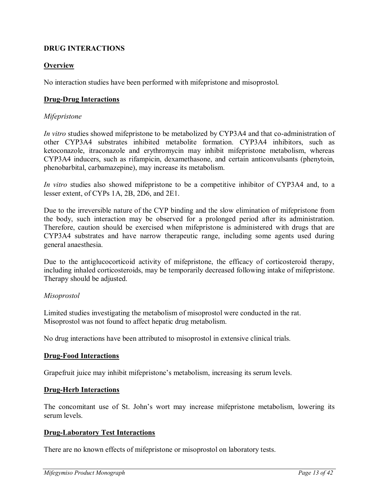# <span id="page-12-0"></span>**DRUG INTERACTIONS**

## **Overview**

No interaction studies have been performed with mifepristone and misoprostol.

## **Drug-Drug Interactions**

## *Mifepristone*

*In vitro* studies showed mifepristone to be metabolized by CYP3A4 and that co-administration of other CYP3A4 substrates inhibited metabolite formation. CYP3A4 inhibitors, such as ketoconazole, itraconazole and erythromycin may inhibit mifepristone metabolism, whereas CYP3A4 inducers, such as rifampicin, dexamethasone, and certain anticonvulsants (phenytoin, phenobarbital, carbamazepine), may increase its metabolism.

*In vitro* studies also showed mifepristone to be a competitive inhibitor of CYP3A4 and, to a lesser extent, of CYPs 1A, 2B, 2D6, and 2E1.

Due to the irreversible nature of the CYP binding and the slow elimination of mifepristone from the body, such interaction may be observed for a prolonged period after its administration. Therefore, caution should be exercised when mifepristone is administered with drugs that are CYP3A4 substrates and have narrow therapeutic range, including some agents used during general anaesthesia.

Due to the antiglucocorticoid activity of mifepristone, the efficacy of corticosteroid therapy, including inhaled corticosteroids, may be temporarily decreased following intake of mifepristone. Therapy should be adjusted.

## *Misoprostol*

Limited studies investigating the metabolism of misoprostol were conducted in the rat. Misoprostol was not found to affect hepatic drug metabolism.

No drug interactions have been attributed to misoprostol in extensive clinical trials.

## **Drug-Food Interactions**

Grapefruit juice may inhibit mifepristone's metabolism, increasing its serum levels.

## **Drug-Herb Interactions**

The concomitant use of St. John's wort may increase mifepristone metabolism, lowering its serum levels.

## **Drug-Laboratory Test Interactions**

There are no known effects of mifepristone or misoprostol on laboratory tests.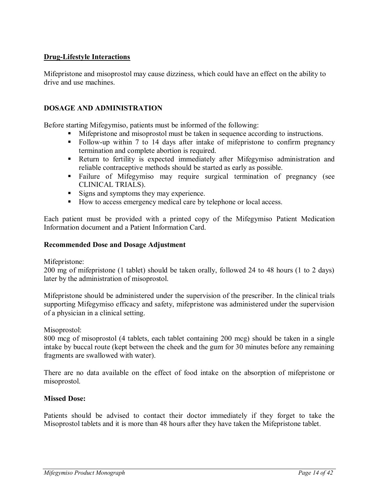## **Drug-Lifestyle Interactions**

Mifepristone and misoprostol may cause dizziness, which could have an effect on the ability to drive and use machines.

# **DOSAGE AND ADMINISTRATION**

Before starting Mifegymiso, patients must be informed of the following:

- <span id="page-13-0"></span>Mifepristone and misoprostol must be taken in sequence according to instructions.
- Follow-up within 7 to 14 days after intake of mifepristone to confirm pregnancy termination and complete abortion is required.
- Return to fertility is expected immediately after Mifegymiso administration and reliable contraceptive methods should be started as early as possible.
- Failure of Mifegymiso may require surgical termination of pregnancy (see CLINICAL TRIALS).
- Signs and symptoms they may experience.
- How to access emergency medical care by telephone or local access.

Each patient must be provided with a printed copy of the Mifegymiso Patient Medication Information document and a Patient Information Card.

#### **Recommended Dose and Dosage Adjustment**

Mifepristone:

200 mg of mifepristone (1 tablet) should be taken orally, followed 24 to 48 hours (1 to 2 days) later by the administration of misoprostol.

Mifepristone should be administered under the supervision of the prescriber. In the clinical trials supporting Mifegymiso efficacy and safety, mifepristone was administered under the supervision of a physician in a clinical setting.

Misoprostol:

800 mcg of misoprostol (4 tablets, each tablet containing 200 mcg) should be taken in a single intake by buccal route (kept between the cheek and the gum for 30 minutes before any remaining fragments are swallowed with water).

There are no data available on the effect of food intake on the absorption of mifepristone or misoprostol.

#### **Missed Dose:**

Patients should be advised to contact their doctor immediately if they forget to take the Misoprostol tablets and it is more than 48 hours after they have taken the Mifepristone tablet.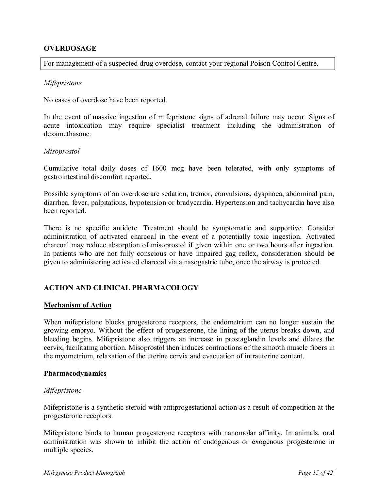## <span id="page-14-0"></span>**OVERDOSAGE**

For management of a suspected drug overdose, contact your regional Poison Control Centre.

#### *Mifepristone*

No cases of overdose have been reported.

In the event of massive ingestion of mifepristone signs of adrenal failure may occur. Signs of acute intoxication may require specialist treatment including the administration of dexamethasone.

#### *Misoprostol*

Cumulative total daily doses of 1600 mcg have been tolerated, with only symptoms of gastrointestinal discomfort reported.

Possible symptoms of an overdose are sedation, tremor, convulsions, dyspnoea, abdominal pain, diarrhea, fever, palpitations, hypotension or bradycardia. Hypertension and tachycardia have also been reported.

There is no specific antidote. Treatment should be symptomatic and supportive. Consider administration of activated charcoal in the event of a potentially toxic ingestion. Activated charcoal may reduce absorption of misoprostol if given within one or two hours after ingestion. In patients who are not fully conscious or have impaired gag reflex, consideration should be given to administering activated charcoal via a nasogastric tube, once the airway is protected.

## <span id="page-14-1"></span>**ACTION AND CLINICAL PHARMACOLOGY**

#### **Mechanism of Action**

When mifepristone blocks progesterone receptors, the endometrium can no longer sustain the growing embryo. Without the effect of progesterone, the lining of the uterus breaks down, and bleeding begins. Mifepristone also triggers an increase in prostaglandin levels and dilates the cervix, facilitating abortion. Misoprostol then induces contractions of the smooth muscle fibers in the myometrium, relaxation of the uterine cervix and evacuation of intrauterine content.

#### **Pharmacodynamics**

#### *Mifepristone*

Mifepristone is a synthetic steroid with antiprogestational action as a result of competition at the progesterone receptors.

Mifepristone binds to human progesterone receptors with nanomolar affinity. In animals, oral administration was shown to inhibit the action of endogenous or exogenous progesterone in multiple species.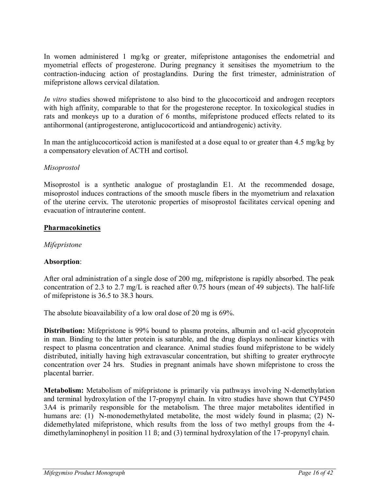In women administered 1 mg/kg or greater, mifepristone antagonises the endometrial and myometrial effects of progesterone. During pregnancy it sensitises the myometrium to the contraction-inducing action of prostaglandins. During the first trimester, administration of mifepristone allows cervical dilatation.

*In vitro* studies showed mifepristone to also bind to the glucocorticoid and androgen receptors with high affinity, comparable to that for the progesterone receptor. In toxicological studies in rats and monkeys up to a duration of 6 months, mifepristone produced effects related to its antihormonal (antiprogesterone, antiglucocorticoid and antiandrogenic) activity.

In man the antiglucocorticoid action is manifested at a dose equal to or greater than 4.5 mg/kg by a compensatory elevation of ACTH and cortisol.

## *Misoprostol*

Misoprostol is a synthetic analogue of prostaglandin E1. At the recommended dosage, misoprostol induces contractions of the smooth muscle fibers in the myometrium and relaxation of the uterine cervix. The uterotonic properties of misoprostol facilitates cervical opening and evacuation of intrauterine content.

# **Pharmacokinetics**

# *Mifepristone*

# **Absorption**:

After oral administration of a single dose of 200 mg, mifepristone is rapidly absorbed. The peak concentration of 2.3 to 2.7 mg/L is reached after 0.75 hours (mean of 49 subjects). The half-life of mifepristone is 36.5 to 38.3 hours.

The absolute bioavailability of a low oral dose of 20 mg is 69%.

**Distribution:** Mifepristone is 99% bound to plasma proteins, albumin and  $\alpha$ 1-acid glycoprotein in man. Binding to the latter protein is saturable, and the drug displays nonlinear kinetics with respect to plasma concentration and clearance. Animal studies found mifepristone to be widely distributed, initially having high extravascular concentration, but shifting to greater erythrocyte concentration over 24 hrs. Studies in pregnant animals have shown mifepristone to cross the placental barrier.

**Metabolism:** Metabolism of mifepristone is primarily via pathways involving N-demethylation and terminal hydroxylation of the 17-propynyl chain. In vitro studies have shown that CYP450 3A4 is primarily responsible for the metabolism. The three major metabolites identified in humans are: (1) N-monodemethylated metabolite, the most widely found in plasma; (2) Ndidemethylated mifepristone, which results from the loss of two methyl groups from the 4 dimethylaminophenyl in position 11 ß; and (3) terminal hydroxylation of the 17-propynyl chain.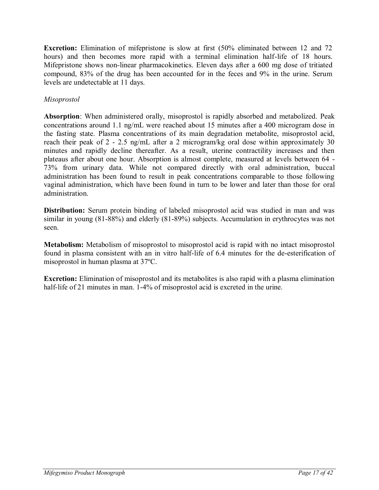**Excretion:** Elimination of mifepristone is slow at first (50% eliminated between 12 and 72 hours) and then becomes more rapid with a terminal elimination half-life of 18 hours. Mifepristone shows non-linear pharmacokinetics. Eleven days after a 600 mg dose of tritiated compound, 83% of the drug has been accounted for in the feces and 9% in the urine. Serum levels are undetectable at 11 days.

## *Misoprostol*

**Absorption**: When administered orally, misoprostol is rapidly absorbed and metabolized. Peak concentrations around 1.1 ng/mL were reached about 15 minutes after a 400 microgram dose in the fasting state. Plasma concentrations of its main degradation metabolite, misoprostol acid, reach their peak of 2 - 2.5 ng/mL after a 2 microgram/kg oral dose within approximately 30 minutes and rapidly decline thereafter. As a result, uterine contractility increases and then plateaus after about one hour. Absorption is almost complete, measured at levels between 64 - 73% from urinary data. While not compared directly with oral administration, buccal administration has been found to result in peak concentrations comparable to those following vaginal administration, which have been found in turn to be lower and later than those for oral administration.

**Distribution:** Serum protein binding of labeled misoprostol acid was studied in man and was similar in young (81-88%) and elderly (81-89%) subjects. Accumulation in erythrocytes was not seen.

**Metabolism:** Metabolism of misoprostol to misoprostol acid is rapid with no intact misoprostol found in plasma consistent with an in vitro half-life of 6.4 minutes for the de-esterification of misoprostol in human plasma at 37ºC.

**Excretion:** Elimination of misoprostol and its metabolites is also rapid with a plasma elimination half-life of 21 minutes in man. 1-4% of misoprostol acid is excreted in the urine.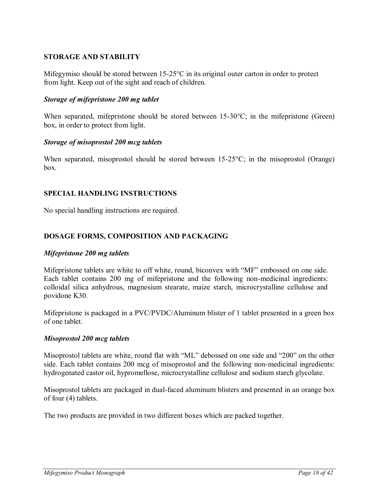## <span id="page-17-0"></span>**STORAGE AND STABILITY**

Mifegymiso should be stored between 15-25°C in its original outer carton in order to protect from light. Keep out of the sight and reach of children.

### *Storage of mifepristone 200 mg tablet*

When separated, mifepristone should be stored between 15-30 °C; in the mifepristone (Green) box, in order to protect from light.

#### *Storage of misoprostol 200 mcg tablets*

When separated, misoprostol should be stored between 15-25<sup>o</sup>C; in the misoprostol (Orange) box.

## <span id="page-17-1"></span>**SPECIAL HANDLING INSTRUCTIONS**

No special handling instructions are required.

## <span id="page-17-2"></span>**DOSAGE FORMS, COMPOSITION AND PACKAGING**

#### *Mifepristone 200 mg tablets*

Mifepristone tablets are white to off white, round, biconvex with "MF" embossed on one side. Each tablet contains 200 mg of mifepristone and the following non-medicinal ingredients: colloidal silica anhydrous, magnesium stearate, maize starch, microcrystalline cellulose and povidone K30.

Mifepristone is packaged in a PVC/PVDC/Aluminum blister of 1 tablet presented in a green box of one tablet.

#### *Misoprostol 200 mcg tablets*

Misoprostol tablets are white, round flat with "ML" debossed on one side and "200" on the other side. Each tablet contains 200 mcg of misoprostol and the following non-medicinal ingredients: hydrogenated castor oil, hypromellose, microcrystalline cellulose and sodium starch glycolate.

Misoprostol tablets are packaged in dual-faced aluminum blisters and presented in an orange box of four (4) tablets.

The two products are provided in two different boxes which are packed together.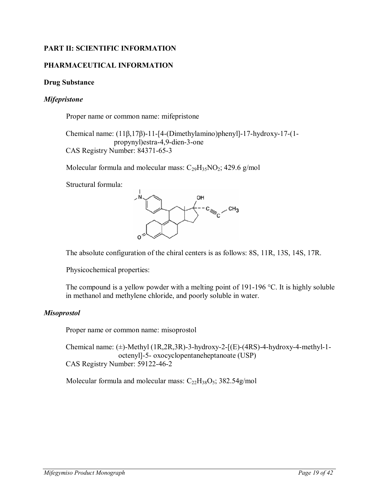# **PART II: SCIENTIFIC INFORMATION**

## **PHARMACEUTICAL INFORMATION**

#### **Drug Substance**

#### *Mifepristone*

<span id="page-18-1"></span><span id="page-18-0"></span>Proper name or common name: mifepristone

Chemical name: (11β,17β)-11-[4-(Dimethylamino)phenyl]-17-hydroxy-17-(1 propynyl)estra-4,9-dien-3-one CAS Registry Number: 84371-65-3

Molecular formula and molecular mass:  $C_{29}H_{35}NO_2$ ; 429.6 g/mol

Structural formula:



The absolute configuration of the chiral centers is as follows: 8S, 11R, 13S, 14S, 17R.

Physicochemical properties:

The compound is a yellow powder with a melting point of 191-196 °C. It is highly soluble in methanol and methylene chloride, and poorly soluble in water.

#### *Misoprostol*

Proper name or common name: misoprostol

Chemical name:  $(\pm)$ -Methyl (1R,2R,3R)-3-hydroxy-2-[(E)-(4RS)-4-hydroxy-4-methyl-1octenyl]-5- oxocyclopentaneheptanoate (USP) CAS Registry Number: 59122-46-2

Molecular formula and molecular mass:  $C_{22}H_{38}O_5$ ; 382.54g/mol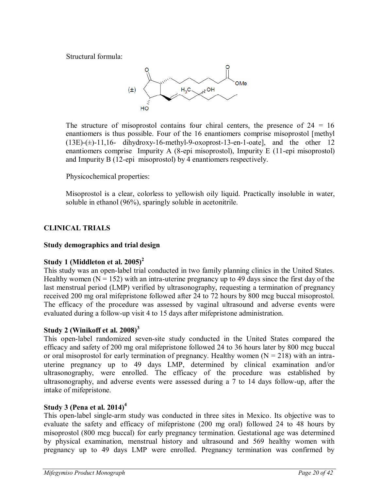Structural formula:



The structure of misoprostol contains four chiral centers, the presence of  $24 = 16$ enantiomers is thus possible. Four of the 16 enantiomers comprise misoprostol [methyl  $(13E)$ -( $\pm$ )-11,16- dihydroxy-16-methyl-9-oxoprost-13-en-1-oate], and the other 12 enantiomers comprise Impurity A (8-epi misoprostol), Impurity E (11-epi misoprostol) and Impurity B (12-epi misoprostol) by 4 enantiomers respectively.

Physicochemical properties:

<span id="page-19-0"></span>Misoprostol is a clear, colorless to yellowish oily liquid. Practically insoluble in water, soluble in ethanol (96%), sparingly soluble in acetonitrile.

# **CLINICAL TRIALS**

# **Study demographics and trial design**

# **Study 1 (Middleton et al. 2005)<sup>2</sup>**

This study was an open-label trial conducted in two family planning clinics in the United States. Healthy women ( $N = 152$ ) with an intra-uterine pregnancy up to 49 days since the first day of the last menstrual period (LMP) verified by ultrasonography, requesting a termination of pregnancy received 200 mg oral mifepristone followed after 24 to 72 hours by 800 mcg buccal misoprostol. The efficacy of the procedure was assessed by vaginal ultrasound and adverse events were evaluated during a follow-up visit 4 to 15 days after mifepristone administration.

# **Study 2 (Winikoff et al. 2008)<sup>3</sup>**

This open-label randomized seven-site study conducted in the United States compared the efficacy and safety of 200 mg oral mifepristone followed 24 to 36 hours later by 800 mcg buccal or oral misoprostol for early termination of pregnancy. Healthy women  $(N = 218)$  with an intrauterine pregnancy up to 49 days LMP, determined by clinical examination and/or ultrasonography, were enrolled. The efficacy of the procedure was established by ultrasonography, and adverse events were assessed during a 7 to 14 days follow-up, after the intake of mifepristone.

# **Study 3 (Pena et al. 2014)<sup>4</sup>**

This open-label single-arm study was conducted in three sites in Mexico. Its objective was to evaluate the safety and efficacy of mifepristone (200 mg oral) followed 24 to 48 hours by misoprostol (800 mcg buccal) for early pregnancy termination. Gestational age was determined by physical examination, menstrual history and ultrasound and 569 healthy women with pregnancy up to 49 days LMP were enrolled. Pregnancy termination was confirmed by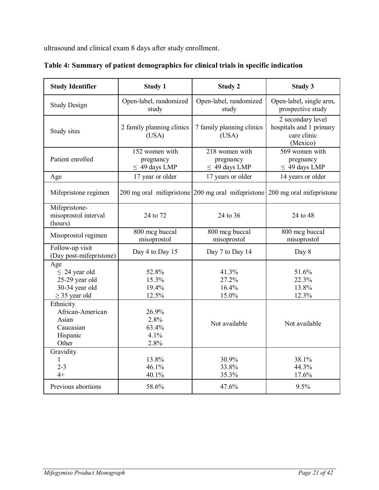ultrasound and clinical exam 8 days after study enrollment.

| <b>Study Identifier</b>                                                             | <b>Study 1</b>                                    | <b>Study 2</b>                                                             | <b>Study 3</b>                                                          |
|-------------------------------------------------------------------------------------|---------------------------------------------------|----------------------------------------------------------------------------|-------------------------------------------------------------------------|
| <b>Study Design</b>                                                                 | Open-label, randomized<br>study                   | Open-label, randomized<br>study                                            | Open-label, single arm,<br>prospective study                            |
| Study sites                                                                         | 2 family planning clinics<br>(USA)                | 7 family planning clinics<br>(USA)                                         | 2 secondary level<br>hospitals and 1 primary<br>care clinic<br>(Mexico) |
| Patient enrolled                                                                    | 152 women with<br>pregnancy<br>$\leq$ 49 days LMP | 218 women with<br>pregnancy<br>$\leq$ 49 days LMP                          | 569 women with<br>pregnancy<br>$\leq$ 49 days LMP                       |
| Age                                                                                 | 17 year or older                                  | 17 years or older                                                          | 14 years or older                                                       |
| Mifepristone regimen                                                                |                                                   | 200 mg oral mifepristone 200 mg oral mifepristone 200 mg oral mifepristone |                                                                         |
| Mifepristone-<br>misoprostol interval<br>(hours)                                    | 24 to 72                                          | 24 to 36                                                                   | 24 to 48                                                                |
| Misoprostol regimen                                                                 | 800 mcg buccal<br>misoprostol                     | 800 mcg buccal<br>misoprostol                                              | 800 mcg buccal<br>misoprostol                                           |
| Follow-up visit<br>(Day post-mifepristone)                                          | Day 4 to Day 15                                   | Day 7 to Day 14                                                            | Day 8                                                                   |
| Age<br>$\leq$ 24 year old<br>25-29 year old<br>30-34 year old<br>$\geq$ 35 year old | 52.8%<br>15.3%<br>19.4%<br>12.5%                  | 41.3%<br>27.2%<br>16.4%<br>15.0%                                           | 51.6%<br>22.3%<br>13.8%<br>12.3%                                        |
| Ethnicity<br>African-American<br>Asian<br>Caucasian<br>Hispanic<br>Other            | 26.9%<br>2.8%<br>63.4%<br>4.1%<br>2.8%            | Not available                                                              | Not available                                                           |
| Gravidity<br>1<br>$2 - 3$<br>$4+$                                                   | 13.8%<br>46.1%<br>40.1%                           | 30.9%<br>33.8%<br>35.3%                                                    | 38.1%<br>44.3%<br>17.6%                                                 |
| Previous abortions                                                                  | 58.6%                                             | 47.6%                                                                      | 9.5%                                                                    |

|  |  | Table 4: Summary of patient demographics for clinical trials in specific indication |
|--|--|-------------------------------------------------------------------------------------|
|  |  |                                                                                     |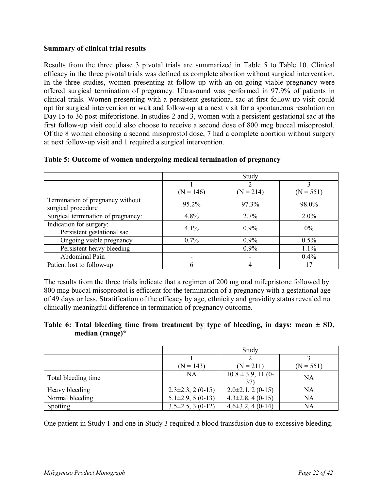## **Summary of clinical trial results**

Results from the three phase 3 pivotal trials are summarized in [Table 5](#page-21-0) to [Table 10.](#page-23-0) Clinical efficacy in the three pivotal trials was defined as complete abortion without surgical intervention. In the three studies, women presenting at follow-up with an on-going viable pregnancy were offered surgical termination of pregnancy. Ultrasound was performed in 97.9% of patients in clinical trials. Women presenting with a persistent gestational sac at first follow-up visit could opt for surgical intervention or wait and follow-up at a next visit for a spontaneous resolution on Day 15 to 36 post-mifepristone. In studies 2 and 3, women with a persistent gestational sac at the first follow-up visit could also choose to receive a second dose of 800 mcg buccal misoprostol. Of the 8 women choosing a second misoprostol dose, 7 had a complete abortion without surgery at next follow-up visit and 1 required a surgical intervention.

|                                                        | Study                    |             |             |
|--------------------------------------------------------|--------------------------|-------------|-------------|
|                                                        |                          |             |             |
|                                                        | $(N = 146)$              | $(N = 214)$ | $(N = 551)$ |
| Termination of pregnancy without<br>surgical procedure | 95.2%                    | 97.3%       | 98.0%       |
| Surgical termination of pregnancy:                     | 4.8%                     | 2.7%        | $2.0\%$     |
| Indication for surgery:                                | 4.1%                     | $0.9\%$     | $0\%$       |
| Persistent gestational sac                             |                          |             |             |
| Ongoing viable pregnancy                               | $0.7\%$                  | $0.9\%$     | 0.5%        |
| Persistent heavy bleeding                              | $\overline{\phantom{a}}$ | $0.9\%$     | 1.1%        |
| Abdominal Pain                                         |                          | ٠           | 0.4%        |
| Patient lost to follow-up                              | h                        | 4           | 17          |

#### <span id="page-21-0"></span>**Table 5: Outcome of women undergoing medical termination of pregnancy**

The results from the three trials indicate that a regimen of 200 mg oral mifepristone followed by 800 mcg buccal misoprostol is efficient for the termination of a pregnancy with a gestational age of 49 days or less. Stratification of the efficacy by age, ethnicity and gravidity status revealed no clinically meaningful difference in termination of pregnancy outcome.

## Table 6: Total bleeding time from treatment by type of bleeding, in days: mean  $\pm$  SD, **median (range)\***

|                     | Study                   |                               |             |
|---------------------|-------------------------|-------------------------------|-------------|
|                     |                         |                               |             |
|                     | $(N = 143)$             | $(N = 211)$                   | $(N = 551)$ |
| Total bleeding time | NA                      | $10.8 \pm 3.9$ , 11 (0-<br>37 | <b>NA</b>   |
| Heavy bleeding      | $2.3\pm2.3$ , $2(0-15)$ | $2.0\pm2.1$ , $2(0-15)$       | NA          |
| Normal bleeding     | $5.1\pm 2.9, 5(0-13)$   | $4.3\pm2.8$ , 4 (0-15)        | <b>NA</b>   |
| Spotting            | $3.5\pm2.5$ , 3 (0-12)  | $4.6\pm3.2$ , $4(0-14)$       | <b>NA</b>   |

One patient in Study 1 and one in Study 3 required a blood transfusion due to excessive bleeding.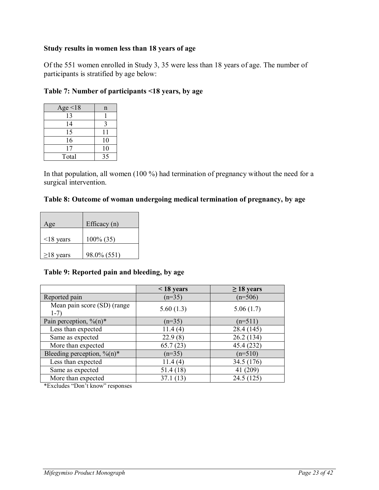### **Study results in women less than 18 years of age**

Of the 551 women enrolled in Study 3, 35 were less than 18 years of age. The number of participants is stratified by age below:

| Age $\leq 18$ | n  |
|---------------|----|
| 13            |    |
| 14            |    |
| 15            | 11 |
| 16            | 10 |
| 17            | 10 |
| Total         | 35 |

## **Table 7: Number of participants <18 years, by age**

In that population, all women (100 %) had termination of pregnancy without the need for a surgical intervention.

## **Table 8: Outcome of woman undergoing medical termination of pregnancy, by age**

| Age             | Efficacy (n) |
|-----------------|--------------|
| $\leq$ 18 years | $100\% (35)$ |
| $\geq$ 18 years | 98.0% (551)  |

#### **Table 9: Reported pain and bleeding, by age**

|                                            | $<$ 18 years | $\geq$ 18 years |
|--------------------------------------------|--------------|-----------------|
| Reported pain                              | $(n=35)$     | $(n=506)$       |
| Mean pain score (SD) (range<br>$1-7)$      | 5.60(1.3)    | 5.06(1.7)       |
| Pain perception, $\%$ (n)*                 | $(n=35)$     | $(n=511)$       |
| Less than expected                         | 11.4(4)      | 28.4 (145)      |
| Same as expected                           | 22.9(8)      | 26.2(134)       |
| More than expected                         | 65.7(23)     | 45.4 (232)      |
| Bleeding perception, $\%$ (n) <sup>*</sup> | $(n=35)$     | $(n=510)$       |
| Less than expected                         | 11.4(4)      | 34.5 (176)      |
| Same as expected                           | 51.4(18)     | 41 (209)        |
| More than expected                         | 37.1(13)     | 24.5(125)       |

\*Excludes "Don't know" responses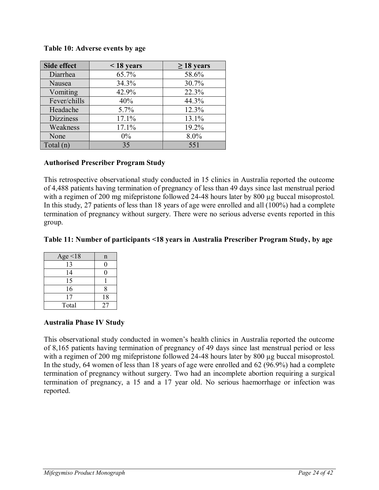#### <span id="page-23-0"></span>**Table 10: Adverse events by age**

| Side effect      | $\leq$ 18 years | $\geq 18$ years |
|------------------|-----------------|-----------------|
| Diarrhea         | 65.7%           | 58.6%           |
| Nausea           | 34.3%           | 30.7%           |
| Vomiting         | 42.9%           | 22.3%           |
| Fever/chills     | 40%             | 44.3%           |
| Headache         | 5.7%            | 12.3%           |
| <b>Dizziness</b> | 17.1%           | 13.1%           |
| Weakness         | 17.1%           | 19.2%           |
| None             | $0\%$           | 8.0%            |
| Total(n)         | 35              | 551             |

#### **Authorised Prescriber Program Study**

This retrospective observational study conducted in 15 clinics in Australia reported the outcome of 4,488 patients having termination of pregnancy of less than 49 days since last menstrual period with a regimen of 200 mg mifepristone followed 24-48 hours later by 800 µg buccal misoprostol. In this study, 27 patients of less than 18 years of age were enrolled and all (100%) had a complete termination of pregnancy without surgery. There were no serious adverse events reported in this group.

## **Table 11: Number of participants <18 years in Australia Prescriber Program Study, by age**

| Age $\leq$ 18 | n  |
|---------------|----|
| 13            |    |
| 14            |    |
| 15            |    |
| 16            | 8  |
| 17            | 18 |
| Total         | 27 |

## **Australia Phase IV Study**

This observational study conducted in women's health clinics in Australia reported the outcome of 8,165 patients having termination of pregnancy of 49 days since last menstrual period or less with a regimen of 200 mg mifepristone followed 24-48 hours later by 800 µg buccal misoprostol. In the study, 64 women of less than 18 years of age were enrolled and 62 (96.9%) had a complete termination of pregnancy without surgery. Two had an incomplete abortion requiring a surgical termination of pregnancy, a 15 and a 17 year old. No serious haemorrhage or infection was reported.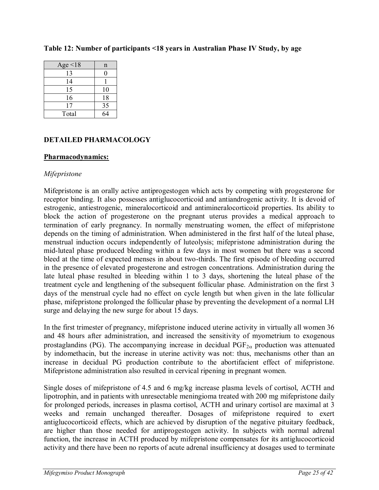| Age $\leq$ 18 | n  |
|---------------|----|
| 13            |    |
| 14            |    |
| 15            | 10 |
| 16            | 18 |
| 17            | 35 |
| Total         |    |

### **Table 12: Number of participants <18 years in Australian Phase IV Study, by age**

# <span id="page-24-0"></span>**DETAILED PHARMACOLOGY**

#### **Pharmacodynamics:**

## *Mifepristone*

Mifepristone is an orally active antiprogestogen which acts by competing with progesterone for receptor binding. It also possesses antiglucocorticoid and antiandrogenic activity. It is devoid of estrogenic, antiestrogenic, mineralocorticoid and antimineralocorticoid properties. Its ability to block the action of progesterone on the pregnant uterus provides a medical approach to termination of early pregnancy. In normally menstruating women, the effect of mifepristone depends on the timing of administration. When administered in the first half of the luteal phase, menstrual induction occurs independently of luteolysis; mifepristone administration during the mid-luteal phase produced bleeding within a few days in most women but there was a second bleed at the time of expected menses in about two-thirds. The first episode of bleeding occurred in the presence of elevated progesterone and estrogen concentrations. Administration during the late luteal phase resulted in bleeding within 1 to 3 days, shortening the luteal phase of the treatment cycle and lengthening of the subsequent follicular phase. Administration on the first 3 days of the menstrual cycle had no effect on cycle length but when given in the late follicular phase, mifepristone prolonged the follicular phase by preventing the development of a normal LH surge and delaying the new surge for about 15 days.

In the first trimester of pregnancy, mifepristone induced uterine activity in virtually all women 36 and 48 hours after administration, and increased the sensitivity of myometrium to exogenous prostaglandins (PG). The accompanying increase in decidual  $PGF_{2\alpha}$  production was attenuated by indomethacin, but the increase in uterine activity was not: thus, mechanisms other than an increase in decidual PG production contribute to the abortifacient effect of mifepristone. Mifepristone administration also resulted in cervical ripening in pregnant women.

Single doses of mifepristone of 4.5 and 6 mg/kg increase plasma levels of cortisol, ACTH and lipotrophin, and in patients with unresectable meningioma treated with 200 mg mifepristone daily for prolonged periods, increases in plasma cortisol, ACTH and urinary cortisol are maximal at 3 weeks and remain unchanged thereafter. Dosages of mifepristone required to exert antiglucocorticoid effects, which are achieved by disruption of the negative pituitary feedback, are higher than those needed for antiprogestogen activity. In subjects with normal adrenal function, the increase in ACTH produced by mifepristone compensates for its antiglucocorticoid activity and there have been no reports of acute adrenal insufficiency at dosages used to terminate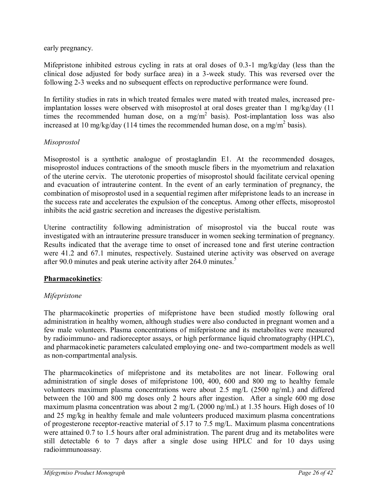early pregnancy.

Mifepristone inhibited estrous cycling in rats at oral doses of 0.3-1 mg/kg/day (less than the clinical dose adjusted for body surface area) in a 3-week study. This was reversed over the following 2-3 weeks and no subsequent effects on reproductive performance were found.

In fertility studies in rats in which treated females were mated with treated males, increased preimplantation losses were observed with misoprostol at oral doses greater than 1 mg/kg/day (11 times the recommended human dose, on a mg/m<sup>2</sup> basis). Post-implantation loss was also increased at 10 mg/kg/day (114 times the recommended human dose, on a mg/m<sup>2</sup> basis).

## *Misoprostol*

Misoprostol is a synthetic analogue of prostaglandin E1. At the recommended dosages, misoprostol induces contractions of the smooth muscle fibers in the myometrium and relaxation of the uterine cervix. The uterotonic properties of misoprostol should facilitate cervical opening and evacuation of intrauterine content. In the event of an early termination of pregnancy, the combination of misoprostol used in a sequential regimen after mifepristone leads to an increase in the success rate and accelerates the expulsion of the conceptus. Among other effects, misoprostol inhibits the acid gastric secretion and increases the digestive peristaltism.

Uterine contractility following administration of misoprostol via the buccal route was investigated with an intrauterine pressure transducer in women seeking termination of pregnancy. Results indicated that the average time to onset of increased tone and first uterine contraction were 41.2 and 67.1 minutes, respectively. Sustained uterine activity was observed on average after 90.0 minutes and peak uterine activity after 264.0 minutes.<sup>5</sup>

# **Pharmacokinetics**:

# *Mifepristone*

The pharmacokinetic properties of mifepristone have been studied mostly following oral administration in healthy women, although studies were also conducted in pregnant women and a few male volunteers. Plasma concentrations of mifepristone and its metabolites were measured by radioimmuno- and radioreceptor assays, or high performance liquid chromatography (HPLC), and pharmacokinetic parameters calculated employing one- and two-compartment models as well as non-compartmental analysis.

The pharmacokinetics of mifepristone and its metabolites are not linear. Following oral administration of single doses of mifepristone 100, 400, 600 and 800 mg to healthy female volunteers maximum plasma concentrations were about 2.5 mg/L (2500 ng/mL) and differed between the 100 and 800 mg doses only 2 hours after ingestion. After a single 600 mg dose maximum plasma concentration was about 2 mg/L (2000 ng/mL) at 1.35 hours. High doses of 10 and 25 mg/kg in healthy female and male volunteers produced maximum plasma concentrations of progesterone receptor-reactive material of 5.17 to 7.5 mg/L. Maximum plasma concentrations were attained 0.7 to 1.5 hours after oral administration. The parent drug and its metabolites were still detectable 6 to 7 days after a single dose using HPLC and for 10 days using radioimmunoassay.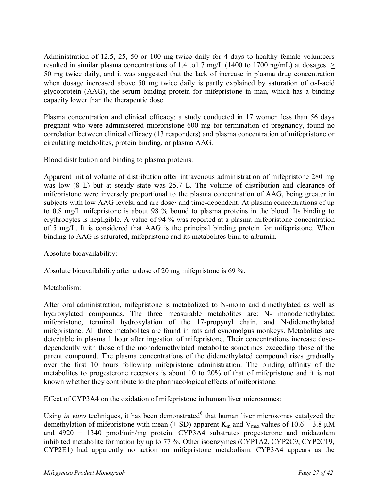Administration of 12.5, 25, 50 or 100 mg twice daily for 4 days to healthy female volunteers resulted in similar plasma concentrations of 1.4 to 1.7 mg/L (1400 to 1700 ng/mL) at dosages  $>$ 50 mg twice daily, and it was suggested that the lack of increase in plasma drug concentration when dosage increased above 50 mg twice daily is partly explained by saturation of  $\alpha$ -I-acid glycoprotein (AAG), the serum binding protein for mifepristone in man, which has a binding capacity lower than the therapeutic dose.

Plasma concentration and clinical efficacy: a study conducted in 17 women less than 56 days pregnant who were administered mifepristone 600 mg for termination of pregnancy, found no correlation between clinical efficacy (13 responders) and plasma concentration of mifepristone or circulating metabolites, protein binding, or plasma AAG.

# Blood distribution and binding to plasma proteins:

Apparent initial volume of distribution after intravenous administration of mifepristone 280 mg was low (8 L) but at steady state was 25.7 L. The volume of distribution and clearance of mifepristone were inversely proportional to the plasma concentration of AAG, being greater in subjects with low AAG levels, and are dose· and time-dependent. At plasma concentrations of up to 0.8 mg/L mifepristone is about 98 % bound to plasma proteins in the blood. Its binding to erythrocytes is negligible. A value of 94 % was reported at a plasma mifepristone concentration of 5 mg/L. It is considered that AAG is the principal binding protein for mifepristone. When binding to AAG is saturated, mifepristone and its metabolites bind to albumin.

# Absolute bioavailability:

Absolute bioavailability after a dose of 20 mg mifepristone is 69 %.

# Metabolism:

After oral administration, mifepristone is metabolized to N-mono and dimethylated as well as hydroxylated compounds. The three measurable metabolites are: N- monodemethylated mifepristone, terminal hydroxylation of the 17-propynyl chain, and N-didemethylated mifepristone. All three metabolites are found in rats and cynomolgus monkeys. Metabolites are detectable in plasma 1 hour after ingestion of mifepristone. Their concentrations increase dosedependently with those of the monodemethylated metabolite sometimes exceeding those of the parent compound. The plasma concentrations of the didemethylated compound rises gradually over the first 10 hours following mifepristone administration. The binding affinity of the metabolites to progesterone receptors is about 10 to 20% of that of mifepristone and it is not known whether they contribute to the pharmacological effects of mifepristone.

Effect of CYP3A4 on the oxidation of mifepristone in human liver microsomes:

Using *in vitro* techniques, it has been demonstrated<sup>6</sup> that human liver microsomes catalyzed the demethylation of mifepristone with mean ( $\pm$  SD) apparent K<sub>m</sub> and V<sub>max</sub> values of 10.6  $\pm$  3.8  $\mu$ M and  $4920 \pm 1340$  pmol/min/mg protein. CYP3A4 substrates progesterone and midazolam inhibited metabolite formation by up to 77 %. Other isoenzymes (CYP1A2, CYP2C9, CYP2C19, CYP2E1) had apparently no action on mifepristone metabolism. CYP3A4 appears as the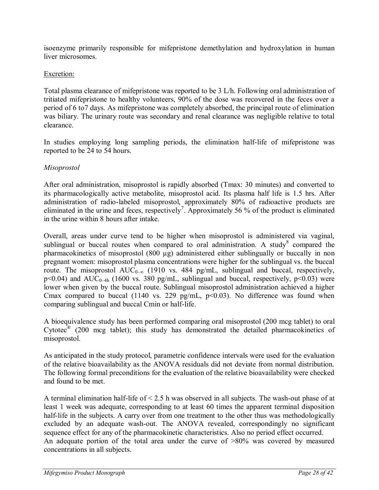isoenzyme primarily responsible for mifepristone demethylation and hydroxylation in human liver microsomes.

# Excretion:

Total plasma clearance of mifepristone was reported to be 3 L/h. Following oral administration of tritiated mifepristone to healthy volunteers, 90% of the dose was recovered in the feces over a period of 6 to7 days. As mifepristone was completely absorbed, the principal route of elimination was biliary. The urinary route was secondary and renal clearance was negligible relative to total clearance.

In studies employing long sampling periods, the elimination half-life of mifepristone was reported to be 24 to 54 hours.

# *Misoprostol*

After oral administration, misoprostol is rapidly absorbed (Tmax: 30 minutes) and converted to its pharmacologically active metabolite, misoprostol acid. Its plasma half life is 1.5 hrs. After administration of radio-labeled misoprostol, approximately 80% of radioactive products are eliminated in the urine and feces, respectively<sup>7</sup>. Approximately 56 % of the product is eliminated in the urine within 8 hours after intake.

Overall, areas under curve tend to be higher when misoprostol is administered via vaginal, sublingual or buccal routes when compared to oral administration. A study  $\degree$  compared the pharmacokinetics of misoprostol (800 µg) administered either sublingually or buccally in non pregnant women: misoprostol plasma concentrations were higher for the sublingual vs. the buccal route. The misoprostol  $AUC_{0-\infty}$  (1910 vs. 484 pg/mL, sublingual and buccal, respectively,  $p<0.04$ ) and  $AUC_{0-4h}$  (1600 vs. 380 pg/mL, sublingual and buccal, respectively,  $p<0.03$ ) were lower when given by the buccal route. Sublingual misoprostol administration achieved a higher Cmax compared to buccal (1140 vs. 229 pg/mL,  $p<0.03$ ). No difference was found when comparing sublingual and buccal Cmin or half-life.

A bioequivalence study has been performed comparing oral misoprostol (200 mcg tablet) to oral Cytotec<sup>®</sup> (200 mcg tablet); this study has demonstrated the detailed pharmacokinetics of misoprostol.

As anticipated in the study protocol, parametric confidence intervals were used for the evaluation of the relative bioavailability as the ANOVA residuals did not deviate from normal distribution. The following formal preconditions for the evaluation of the relative bioavailability were checked and found to be met.

A terminal elimination half-life of < 2.5 h was observed in all subjects. The wash-out phase of at least 1 week was adequate, corresponding to at least 60 times the apparent terminal disposition half-life in the subjects. A carry over from one treatment to the other thus was methodologically excluded by an adequate wash-out. The ANOVA revealed, correspondingly no significant sequence effect for any of the pharmacokinetic characteristics. Also no period effect occurred. An adequate portion of the total area under the curve of >80% was covered by measured concentrations in all subjects.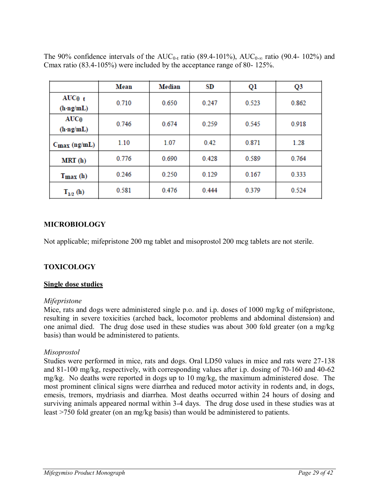|                                         | Mean  | Median | SD    | Ql    | Q3    |
|-----------------------------------------|-------|--------|-------|-------|-------|
| $AUC0$ <sub>t</sub><br>$(h\cdot ng/mL)$ | 0.710 | 0.650  | 0.247 | 0.523 | 0.862 |
| AUC <sub>0</sub><br>$(h \cdot ng/mL)$   | 0.746 | 0.674  | 0.259 | 0.545 | 0.918 |
| $C_{\text{max}}$ (ng/mL)                | 1.10  | 1.07   | 0.42  | 0.871 | 1.28  |
| MRT(h)                                  | 0.776 | 0.690  | 0.428 | 0.589 | 0.764 |
| $Tmax$ (h)                              | 0.246 | 0.250  | 0.129 | 0.167 | 0.333 |
| $T_{1/2}$ (h)                           | 0.581 | 0.476  | 0.444 | 0.379 | 0.524 |

The 90% confidence intervals of the  $AUC_{0-t}$  ratio (89.4-101%),  $AUC_{0-\infty}$  ratio (90.4-102%) and Cmax ratio (83.4-105%) were included by the acceptance range of 80- 125%.

# <span id="page-28-0"></span>**MICROBIOLOGY**

Not applicable; mifepristone 200 mg tablet and misoprostol 200 mcg tablets are not sterile.

## <span id="page-28-1"></span>**TOXICOLOGY**

#### **Single dose studies**

#### *Mifepristone*

Mice, rats and dogs were administered single p.o. and i.p. doses of 1000 mg/kg of mifepristone, resulting in severe toxicities (arched back, locomotor problems and abdominal distension) and one animal died. The drug dose used in these studies was about 300 fold greater (on a mg/kg basis) than would be administered to patients.

#### *Misoprostol*

Studies were performed in mice, rats and dogs. Oral LD50 values in mice and rats were 27-138 and 81-100 mg/kg, respectively, with corresponding values after i.p. dosing of 70-160 and 40-62 mg/kg. No deaths were reported in dogs up to 10 mg/kg, the maximum administered dose. The most prominent clinical signs were diarrhea and reduced motor activity in rodents and, in dogs, emesis, tremors, mydriasis and diarrhea. Most deaths occurred within 24 hours of dosing and surviving animals appeared normal within 3-4 days. The drug dose used in these studies was at least >750 fold greater (on an mg/kg basis) than would be administered to patients.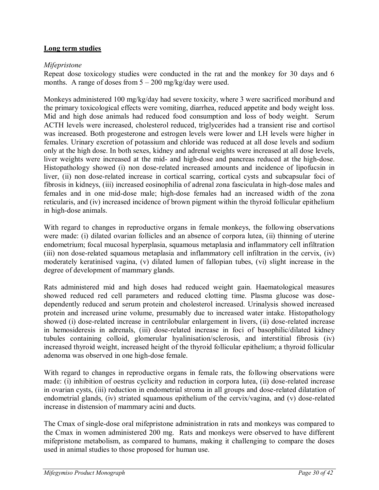## **Long term studies**

### *Mifepristone*

Repeat dose toxicology studies were conducted in the rat and the monkey for 30 days and 6 months. A range of doses from  $5 - 200$  mg/kg/day were used.

Monkeys administered 100 mg/kg/day had severe toxicity, where 3 were sacrificed moribund and the primary toxicological effects were vomiting, diarrhea, reduced appetite and body weight loss. Mid and high dose animals had reduced food consumption and loss of body weight. Serum ACTH levels were increased, cholesterol reduced, triglycerides had a transient rise and cortisol was increased. Both progesterone and estrogen levels were lower and LH levels were higher in females. Urinary excretion of potassium and chloride was reduced at all dose levels and sodium only at the high dose. In both sexes, kidney and adrenal weights were increased at all dose levels, liver weights were increased at the mid- and high-dose and pancreas reduced at the high-dose. Histopathology showed (i) non dose-related increased amounts and incidence of lipofucsin in liver, (ii) non dose-related increase in cortical scarring, cortical cysts and subcapsular foci of fibrosis in kidneys, (iii) increased eosinophilia of adrenal zona fasciculata in high-dose males and females and in one mid-dose male; high-dose females had an increased width of the zona reticularis, and (iv) increased incidence of brown pigment within the thyroid follicular epithelium in high-dose animals.

With regard to changes in reproductive organs in female monkeys, the following observations were made: (i) dilated ovarian follicles and an absence of corpora lutea, (ii) thinning of uterine endometrium; focal mucosal hyperplasia, squamous metaplasia and inflammatory cell infiltration (iii) non dose-related squamous metaplasia and inflammatory cell infiltration in the cervix, (iv) moderately keratinised vagina, (v) dilated lumen of fallopian tubes, (vi) slight increase in the degree of development of mammary glands.

Rats administered mid and high doses had reduced weight gain. Haematological measures showed reduced red cell parameters and reduced clotting time. Plasma glucose was dosedependently reduced and serum protein and cholesterol increased. Urinalysis showed increased protein and increased urine volume, presumably due to increased water intake. Histopathology showed (i) dose-related increase in centrilobular enlargement in livers, (ii) dose-related increase in hemosideresis in adrenals, (iii) dose-related increase in foci of basophilic/dilated kidney tubules containing colloid, glomerular hyalinisation/sclerosis, and interstitial fibrosis (iv) increased thyroid weight, increased height of the thyroid follicular epithelium; a thyroid follicular adenoma was observed in one high-dose female.

With regard to changes in reproductive organs in female rats, the following observations were made: (i) inhibition of oestrus cyclicity and reduction in corpora lutea, (ii) dose-related increase in ovarian cysts, (iii) reduction in endometrial stroma in all groups and dose-related dilatation of endometrial glands, (iv) striated squamous epithelium of the cervix/vagina, and (v) dose-related increase in distension of mammary acini and ducts.

The Cmax of single-dose oral mifepristone administration in rats and monkeys was compared to the Cmax in women administered 200 mg. Rats and monkeys were observed to have different mifepristone metabolism, as compared to humans, making it challenging to compare the doses used in animal studies to those proposed for human use.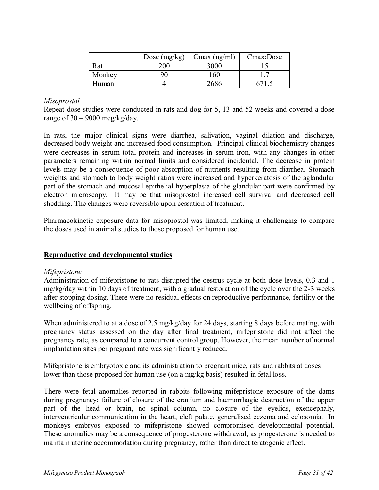|        | Dose $(mg/kg)$ | $Cmax$ (ng/ml) | Cmax:Dose |
|--------|----------------|----------------|-----------|
| Rat    | 200            | 3000           |           |
| Monkey |                | $^{\circ}60$   |           |
| Human  |                | 7686           |           |

#### *Misoprostol*

Repeat dose studies were conducted in rats and dog for 5, 13 and 52 weeks and covered a dose range of  $30 - 9000$  mcg/kg/day.

In rats, the major clinical signs were diarrhea, salivation, vaginal dilation and discharge, decreased body weight and increased food consumption. Principal clinical biochemistry changes were decreases in serum total protein and increases in serum iron, with any changes in other parameters remaining within normal limits and considered incidental. The decrease in protein levels may be a consequence of poor absorption of nutrients resulting from diarrhea. Stomach weights and stomach to body weight ratios were increased and hyperkeratosis of the aglandular part of the stomach and mucosal epithelial hyperplasia of the glandular part were confirmed by electron microscopy. It may be that misoprostol increased cell survival and decreased cell shedding. The changes were reversible upon cessation of treatment.

Pharmacokinetic exposure data for misoprostol was limited, making it challenging to compare the doses used in animal studies to those proposed for human use.

## **Reproductive and developmental studies**

#### *Mifepristone*

Administration of mifepristone to rats disrupted the oestrus cycle at both dose levels, 0.3 and 1 mg/kg/day within 10 days of treatment, with a gradual restoration of the cycle over the 2-3 weeks after stopping dosing. There were no residual effects on reproductive performance, fertility or the wellbeing of offspring.

When administered to at a dose of 2.5 mg/kg/day for 24 days, starting 8 days before mating, with pregnancy status assessed on the day after final treatment, mifepristone did not affect the pregnancy rate, as compared to a concurrent control group. However, the mean number of normal implantation sites per pregnant rate was significantly reduced.

Mifepristone is embryotoxic and its administration to pregnant mice, rats and rabbits at doses lower than those proposed for human use (on a mg/kg basis) resulted in fetal loss.

There were fetal anomalies reported in rabbits following mifepristone exposure of the dams during pregnancy: failure of closure of the cranium and haemorrhagic destruction of the upper part of the head or brain, no spinal column, no closure of the eyelids, exencephaly, interventricular communication in the heart, cleft palate, generalised eczema and celosomia. In monkeys embryos exposed to mifepristone showed compromised developmental potential. These anomalies may be a consequence of progesterone withdrawal, as progesterone is needed to maintain uterine accommodation during pregnancy, rather than direct teratogenic effect.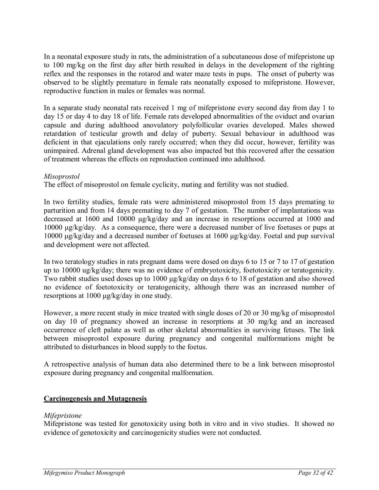In a neonatal exposure study in rats, the administration of a subcutaneous dose of mifepristone up to 100 mg/kg on the first day after birth resulted in delays in the development of the righting reflex and the responses in the rotarod and water maze tests in pups. The onset of puberty was observed to be slightly premature in female rats neonatally exposed to mifepristone. However, reproductive function in males or females was normal.

In a separate study neonatal rats received 1 mg of mifepristone every second day from day 1 to day 15 or day 4 to day 18 of life. Female rats developed abnormalities of the oviduct and ovarian capsule and during adulthood anovulatory polyfollicular ovaries developed. Males showed retardation of testicular growth and delay of puberty. Sexual behaviour in adulthood was deficient in that ejaculations only rarely occurred; when they did occur, however, fertility was unimpaired. Adrenal gland development was also impacted but this recovered after the cessation of treatment whereas the effects on reproduction continued into adulthood.

#### *Misoprostol*

The effect of misoprostol on female cyclicity, mating and fertility was not studied.

In two fertility studies, female rats were administered misoprostol from 15 days premating to parturition and from 14 days premating to day 7 of gestation. The number of implantations was decreased at 1600 and 10000 μg/kg/day and an increase in resorptions occurred at 1000 and 10000 μg/kg/day. As a consequence, there were a decreased number of live foetuses or pups at 10000 μg/kg/day and a decreased number of foetuses at 1600 μg/kg/day. Foetal and pup survival and development were not affected.

In two teratology studies in rats pregnant dams were dosed on days 6 to 15 or 7 to 17 of gestation up to 10000 ug/kg/day; there was no evidence of embryotoxicity, foetotoxicity or teratogenicity. Two rabbit studies used doses up to 1000 μg/kg/day on days 6 to 18 of gestation and also showed no evidence of foetotoxicity or teratogenicity, although there was an increased number of resorptions at 1000 μg/kg/day in one study.

However, a more recent study in mice treated with single doses of 20 or 30 mg/kg of misoprostol on day 10 of pregnancy showed an increase in resorptions at 30 mg/kg and an increased occurrence of cleft palate as well as other skeletal abnormalities in surviving fetuses. The link between misoprostol exposure during pregnancy and congenital malformations might be attributed to disturbances in blood supply to the foetus.

A retrospective analysis of human data also determined there to be a link between misoprostol exposure during pregnancy and congenital malformation.

## **Carcinogenesis and Mutagenesis**

## *Mifepristone*

Mifepristone was tested for genotoxicity using both in vitro and in vivo studies. It showed no evidence of genotoxicity and carcinogenicity studies were not conducted.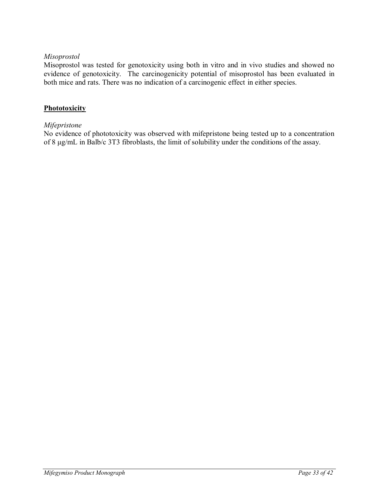## *Misoprostol*

Misoprostol was tested for genotoxicity using both in vitro and in vivo studies and showed no evidence of genotoxicity. The carcinogenicity potential of misoprostol has been evaluated in both mice and rats. There was no indication of a carcinogenic effect in either species.

#### **Phototoxicity**

#### *Mifepristone*

No evidence of phototoxicity was observed with mifepristone being tested up to a concentration of 8 μg/mL in Balb/c 3T3 fibroblasts, the limit of solubility under the conditions of the assay.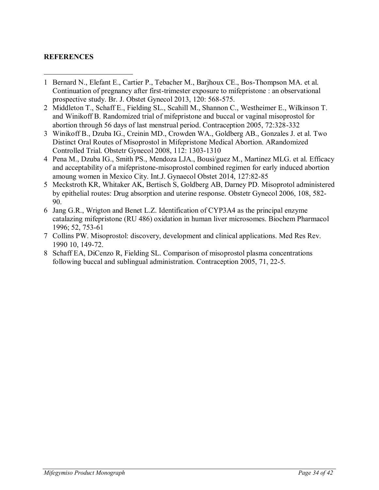### <span id="page-33-0"></span>**REFERENCES**

- $\overline{a}$ 1 Bernard N., Elefant E., Cartier P., Tebacher M., Barjhoux CE., Bos-Thompson MA. et al. Continuation of pregnancy after first-trimester exposure to mifepristone : an observational prospective study. Br. J. Obstet Gynecol 2013, 120: 568-575.
- 2 Middleton T., Schaff E., Fielding SL., Scahill M., Shannon C., Westheimer E., Wilkinson T. and Winikoff B. Randomized trial of mifepristone and buccal or vaginal misoprostol for abortion through 56 days of last menstrual period. Contraception 2005, 72:328-332
- 3 Winikoff B., Dzuba IG., Creinin MD., Crowden WA., Goldberg AB., Gonzales J. et al. Two Distinct Oral Routes of Misoprostol in Mifepristone Medical Abortion. ARandomized Controlled Trial. Obstetr Gynecol 2008, 112: 1303-1310
- 4 Pena M., Dzuba IG., Smith PS., Mendoza LJA., Bousi/guez M., Martinez MLG. et al. Efficacy and acceptability of a mifepristone-misoprostol combined regimen for early induced abortion amoung women in Mexico City. Int.J. Gynaecol Obstet 2014, 127:82-85
- 5 Meckstroth KR, Whitaker AK, Bertisch S, Goldberg AB, Darney PD. Misoprotol administered by epithelial routes: Drug absorption and uterine response. Obstetr Gynecol 2006, 108, 582- 90.
- 6 Jang G.R., Wrigton and Benet L.Z. Identification of CYP3A4 as the principal enzyme catalazing mifepristone (RU 486) oxidation in human liver microsomes. Biochem Pharmacol 1996; 52, 753-61
- 7 Collins PW. Misoprostol: discovery, development and clinical applications. Med Res Rev. 1990 10, 149-72.
- 8 Schaff EA, DiCenzo R, Fielding SL. Comparison of misoprostol plasma concentrations following buccal and sublingual administration. Contraception 2005, 71, 22-5.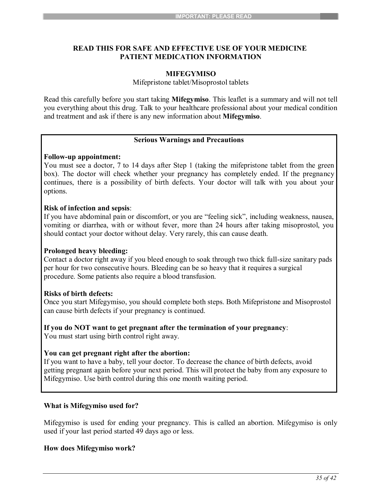### **READ THIS FOR SAFE AND EFFECTIVE USE OF YOUR MEDICINE PATIENT MEDICATION INFORMATION**

#### <span id="page-34-0"></span>**MIFEGYMISO**

Mifepristone tablet/Misoprostol tablets

Read this carefully before you start taking **Mifegymiso**. This leaflet is a summary and will not tell you everything about this drug. Talk to your healthcare professional about your medical condition and treatment and ask if there is any new information about **Mifegymiso**.

#### **Serious Warnings and Precautions**

#### **Follow-up appointment:**

You must see a doctor, 7 to 14 days after Step 1 (taking the mifepristone tablet from the green box). The doctor will check whether your pregnancy has completely ended. If the pregnancy continues, there is a possibility of birth defects. Your doctor will talk with you about your options.

#### **Risk of infection and sepsis**:

If you have abdominal pain or discomfort, or you are "feeling sick", including weakness, nausea, vomiting or diarrhea, with or without fever, more than 24 hours after taking misoprostol, you should contact your doctor without delay. Very rarely, this can cause death.

#### **Prolonged heavy bleeding:**

Contact a doctor right away if you bleed enough to soak through two thick full-size sanitary pads per hour for two consecutive hours. Bleeding can be so heavy that it requires a surgical procedure. Some patients also require a blood transfusion.

#### **Risks of birth defects:**

Once you start Mifegymiso, you should complete both steps. Both Mifepristone and Misoprostol can cause birth defects if your pregnancy is continued.

#### **If you do NOT want to get pregnant after the termination of your pregnancy**:

You must start using birth control right away.

#### **You can get pregnant right after the abortion:**

If you want to have a baby, tell your doctor. To decrease the chance of birth defects, avoid getting pregnant again before your next period. This will protect the baby from any exposure to Mifegymiso. Use birth control during this one month waiting period.

#### **What is Mifegymiso used for?**

Mifegymiso is used for ending your pregnancy. This is called an abortion. Mifegymiso is only used if your last period started 49 days ago or less.

#### **How does Mifegymiso work?**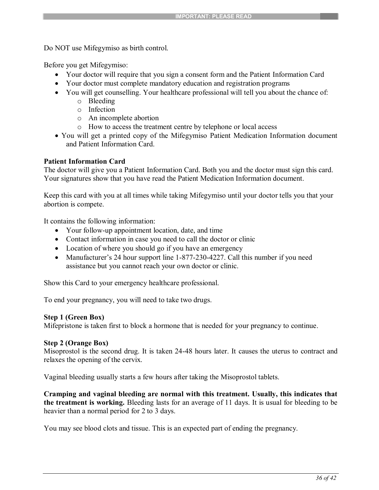Do NOT use Mifegymiso as birth control.

Before you get Mifegymiso:

- Your doctor will require that you sign a consent form and the Patient Information Card
- Your doctor must complete mandatory education and registration programs
- You will get counselling. Your healthcare professional will tell you about the chance of:
	- o Bleeding
	- o Infection
	- o An incomplete abortion
	- o How to access the treatment centre by telephone or local access
- You will get a printed copy of the Mifegymiso Patient Medication Information document and Patient Information Card.

## **Patient Information Card**

The doctor will give you a Patient Information Card. Both you and the doctor must sign this card. Your signatures show that you have read the Patient Medication Information document.

Keep this card with you at all times while taking Mifegymiso until your doctor tells you that your abortion is compete.

It contains the following information:

- Your follow-up appointment location, date, and time
- Contact information in case you need to call the doctor or clinic
- Location of where you should go if you have an emergency
- Manufacturer's 24 hour support line 1-877-230-4227. Call this number if you need assistance but you cannot reach your own doctor or clinic.

Show this Card to your emergency healthcare professional.

To end your pregnancy, you will need to take two drugs.

## **Step 1 (Green Box)**

Mifepristone is taken first to block a hormone that is needed for your pregnancy to continue.

## **Step 2 (Orange Box)**

Misoprostol is the second drug. It is taken 24-48 hours later. It causes the uterus to contract and relaxes the opening of the cervix.

Vaginal bleeding usually starts a few hours after taking the Misoprostol tablets.

**Cramping and vaginal bleeding are normal with this treatment. Usually, this indicates that the treatment is working.** Bleeding lasts for an average of 11 days. It is usual for bleeding to be heavier than a normal period for 2 to 3 days.

You may see blood clots and tissue. This is an expected part of ending the pregnancy.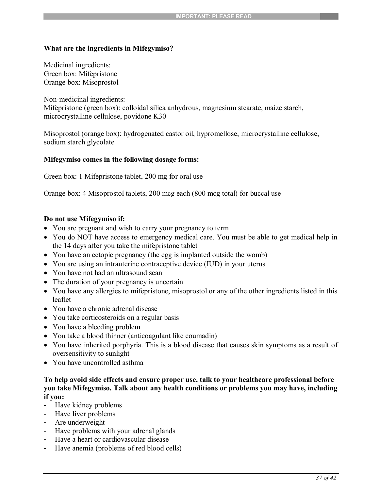#### **What are the ingredients in Mifegymiso?**

Medicinal ingredients: Green box: Mifepristone Orange box: Misoprostol

Non-medicinal ingredients: Mifepristone (green box): colloidal silica anhydrous, magnesium stearate, maize starch, microcrystalline cellulose, povidone K30

Misoprostol (orange box): hydrogenated castor oil, hypromellose, microcrystalline cellulose, sodium starch glycolate

#### **Mifegymiso comes in the following dosage forms:**

Green box: 1 Mifepristone tablet, 200 mg for oral use

Orange box: 4 Misoprostol tablets, 200 mcg each (800 mcg total) for buccal use

#### **Do not use Mifegymiso if:**

- You are pregnant and wish to carry your pregnancy to term
- You do NOT have access to emergency medical care. You must be able to get medical help in the 14 days after you take the mifepristone tablet
- You have an ectopic pregnancy (the egg is implanted outside the womb)
- You are using an intrauterine contraceptive device (IUD) in your uterus
- You have not had an ultrasound scan
- The duration of your pregnancy is uncertain
- You have any allergies to mifepristone, misoprostol or any of the other ingredients listed in this leaflet
- You have a chronic adrenal disease
- You take corticosteroids on a regular basis
- You have a bleeding problem
- You take a blood thinner (anticoagulant like coumadin)
- You have inherited porphyria. This is a blood disease that causes skin symptoms as a result of oversensitivity to sunlight
- You have uncontrolled asthma

#### **To help avoid side effects and ensure proper use, talk to your healthcare professional before you take Mifegymiso. Talk about any health conditions or problems you may have, including if you:**

- Have kidney problems
- Have liver problems
- Are underweight
- Have problems with your adrenal glands
- Have a heart or cardiovascular disease
- Have anemia (problems of red blood cells)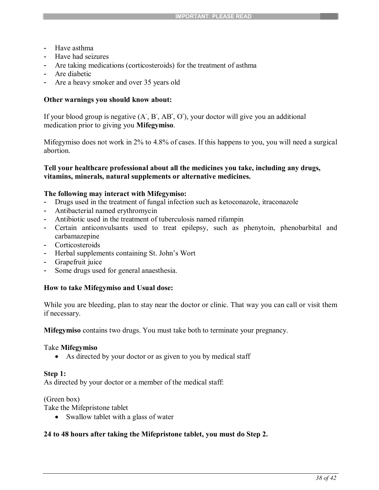- Have asthma
- Have had seizures
- Are taking medications (corticosteroids) for the treatment of asthma
- Are diabetic
- Are a heavy smoker and over 35 years old

#### **Other warnings you should know about:**

If your blood group is negative (A, B, AB, O), your doctor will give you an additional medication prior to giving you **Mifegymiso**.

Mifegymiso does not work in 2% to 4.8% of cases. If this happens to you, you will need a surgical abortion.

#### **Tell your healthcare professional about all the medicines you take, including any drugs, vitamins, minerals, natural supplements or alternative medicines.**

#### **The following may interact with Mifegymiso:**

- Drugs used in the treatment of fungal infection such as ketoconazole, itraconazole
- Antibacterial named erythromycin
- Antibiotic used in the treatment of tuberculosis named rifampin
- Certain anticonvulsants used to treat epilepsy, such as phenytoin, phenobarbital and carbamazepine
- Corticosteroids
- Herbal supplements containing St. John's Wort
- Grapefruit juice
- Some drugs used for general anaesthesia.

#### **How to take Mifegymiso and Usual dose:**

While you are bleeding, plan to stay near the doctor or clinic. That way you can call or visit them if necessary.

**Mifegymiso** contains two drugs. You must take both to terminate your pregnancy.

#### Take **Mifegymiso**

• As directed by your doctor or as given to you by medical staff

#### **Step 1:**

As directed by your doctor or a member of the medical staff:

(Green box)

Take the Mifepristone tablet

• Swallow tablet with a glass of water

## **24 to 48 hours after taking the Mifepristone tablet, you must do Step 2.**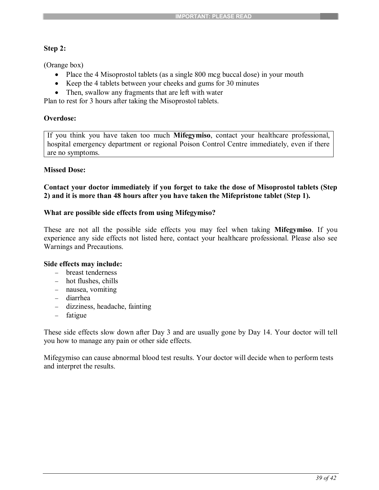### **Step 2:**

(Orange box)

- Place the 4 Misoprostol tablets (as a single 800 mcg buccal dose) in your mouth
- Keep the 4 tablets between your cheeks and gums for 30 minutes
- Then, swallow any fragments that are left with water

Plan to rest for 3 hours after taking the Misoprostol tablets.

### **Overdose:**

If you think you have taken too much **Mifegymiso**, contact your healthcare professional, hospital emergency department or regional Poison Control Centre immediately, even if there are no symptoms.

#### **Missed Dose:**

**Contact your doctor immediately if you forget to take the dose of Misoprostol tablets (Step 2) and it is more than 48 hours after you have taken the Mifepristone tablet (Step 1).**

#### **What are possible side effects from using Mifegymiso?**

These are not all the possible side effects you may feel when taking **Mifegymiso**. If you experience any side effects not listed here, contact your healthcare professional. Please also see Warnings and Precautions.

#### **Side effects may include:**

- breast tenderness
- hot flushes, chills
- nausea, vomiting
- diarrhea
- dizziness, headache, fainting
- fatigue

These side effects slow down after Day 3 and are usually gone by Day 14. Your doctor will tell you how to manage any pain or other side effects.

Mifegymiso can cause abnormal blood test results. Your doctor will decide when to perform tests and interpret the results.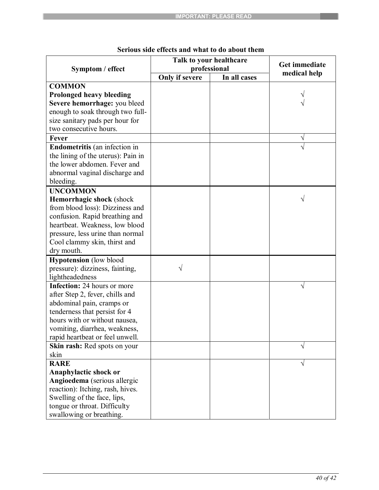|                                      | Talk to your healthcare                        | Get immediate<br>medical help |   |
|--------------------------------------|------------------------------------------------|-------------------------------|---|
| Symptom / effect                     | professional<br>Only if severe<br>In all cases |                               |   |
| <b>COMMON</b>                        |                                                |                               |   |
| <b>Prolonged heavy bleeding</b>      |                                                |                               |   |
| Severe hemorrhage: you bleed         |                                                |                               |   |
| enough to soak through two full-     |                                                |                               |   |
| size sanitary pads per hour for      |                                                |                               |   |
| two consecutive hours.               |                                                |                               |   |
| Fever                                |                                                |                               | Ν |
| <b>Endometritis</b> (an infection in |                                                |                               |   |
| the lining of the uterus): Pain in   |                                                |                               |   |
| the lower abdomen. Fever and         |                                                |                               |   |
| abnormal vaginal discharge and       |                                                |                               |   |
| bleeding.                            |                                                |                               |   |
| <b>UNCOMMON</b>                      |                                                |                               |   |
| Hemorrhagic shock (shock             |                                                |                               |   |
| from blood loss): Dizziness and      |                                                |                               |   |
| confusion. Rapid breathing and       |                                                |                               |   |
| heartbeat. Weakness, low blood       |                                                |                               |   |
| pressure, less urine than normal     |                                                |                               |   |
| Cool clammy skin, thirst and         |                                                |                               |   |
| dry mouth.                           |                                                |                               |   |
| <b>Hypotension</b> (low blood        |                                                |                               |   |
| pressure): dizziness, fainting,      | V                                              |                               |   |
| lightheadedness                      |                                                |                               |   |
| Infection: 24 hours or more          |                                                |                               |   |
| after Step 2, fever, chills and      |                                                |                               |   |
| abdominal pain, cramps or            |                                                |                               |   |
| tenderness that persist for 4        |                                                |                               |   |
| hours with or without nausea,        |                                                |                               |   |
| vomiting, diarrhea, weakness,        |                                                |                               |   |
| rapid heartbeat or feel unwell.      |                                                |                               |   |
| Skin rash: Red spots on your         |                                                |                               |   |
| skin                                 |                                                |                               |   |
| <b>RARE</b>                          |                                                |                               |   |
| Anaphylactic shock or                |                                                |                               |   |
| Angioedema (serious allergic         |                                                |                               |   |
| reaction): Itching, rash, hives.     |                                                |                               |   |
| Swelling of the face, lips,          |                                                |                               |   |
| tongue or throat. Difficulty         |                                                |                               |   |
| swallowing or breathing.             |                                                |                               |   |

# **Serious side effects and what to do about them**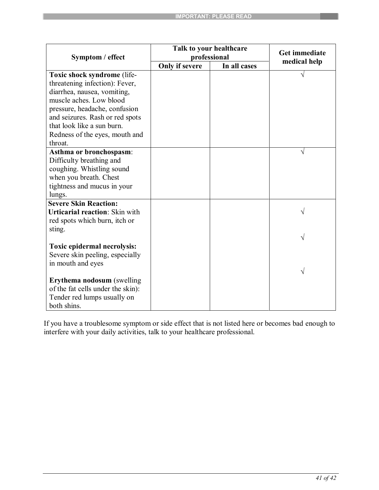|                                       | Talk to your healthcare |              | Get immediate<br>medical help |
|---------------------------------------|-------------------------|--------------|-------------------------------|
| Symptom / effect                      | professional            |              |                               |
|                                       | Only if severe          | In all cases |                               |
| Toxic shock syndrome (life-           |                         |              | V                             |
| threatening infection): Fever,        |                         |              |                               |
| diarrhea, nausea, vomiting,           |                         |              |                               |
| muscle aches. Low blood               |                         |              |                               |
| pressure, headache, confusion         |                         |              |                               |
| and seizures. Rash or red spots       |                         |              |                               |
| that look like a sun burn.            |                         |              |                               |
| Redness of the eyes, mouth and        |                         |              |                               |
| throat.                               |                         |              |                               |
| Asthma or bronchospasm:               |                         |              | V                             |
| Difficulty breathing and              |                         |              |                               |
| coughing. Whistling sound             |                         |              |                               |
| when you breath. Chest                |                         |              |                               |
| tightness and mucus in your           |                         |              |                               |
| lungs.                                |                         |              |                               |
| <b>Severe Skin Reaction:</b>          |                         |              |                               |
| <b>Urticarial reaction: Skin with</b> |                         |              |                               |
| red spots which burn, itch or         |                         |              |                               |
| sting.                                |                         |              |                               |
|                                       |                         |              | V                             |
| Toxic epidermal necrolysis:           |                         |              |                               |
| Severe skin peeling, especially       |                         |              |                               |
| in mouth and eyes                     |                         |              |                               |
|                                       |                         |              | V                             |
| <b>Erythema nodosum</b> (swelling     |                         |              |                               |
| of the fat cells under the skin):     |                         |              |                               |
| Tender red lumps usually on           |                         |              |                               |
| both shins.                           |                         |              |                               |

If you have a troublesome symptom or side effect that is not listed here or becomes bad enough to interfere with your daily activities, talk to your healthcare professional.